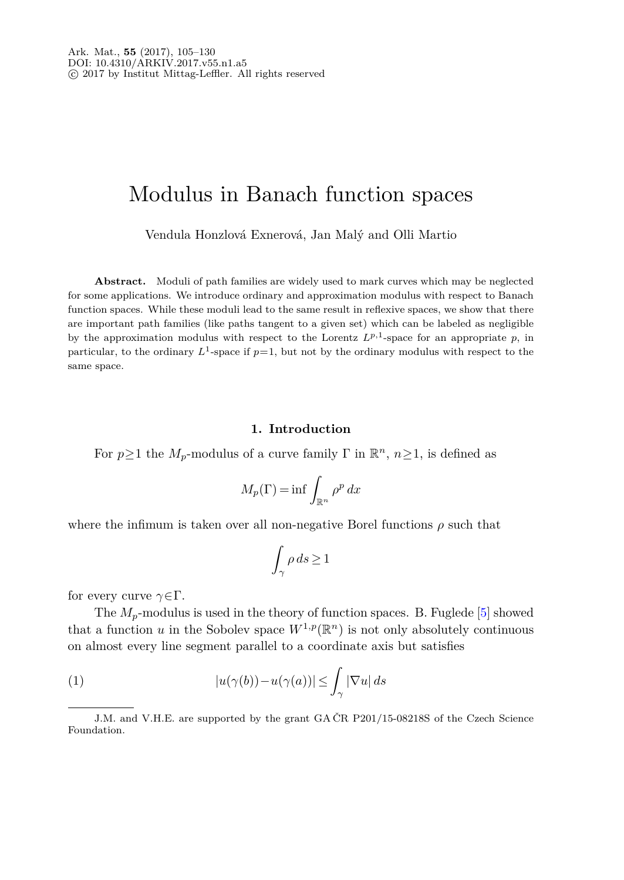# Modulus in Banach function spaces

Vendula Honzlová Exnerová, Jan Malý and Olli Martio

**Abstract.** Moduli of path families are widely used to mark curves which may be neglected for some applications. We introduce ordinary and approximation modulus with respect to Banach function spaces. While these moduli lead to the same result in reflexive spaces, we show that there are important path families (like paths tangent to a given set) which can be labeled as negligible by the approximation modulus with respect to the Lorentz  $L^{p,1}$ -space for an appropriate p, in particular, to the ordinary  $L^1$ -space if  $p=1$ , but not by the ordinary modulus with respect to the same space.

## **1. Introduction**

For  $p \ge 1$  the  $M_p$ -modulus of a curve family  $\Gamma$  in  $\mathbb{R}^n$ ,  $n \ge 1$ , is defined as

$$
M_p(\Gamma) = \inf \int_{\mathbb{R}^n} \rho^p \, dx
$$

where the infimum is taken over all non-negative Borel functions  $\rho$  such that

<span id="page-0-0"></span>
$$
\int_{\gamma} \rho \, ds \ge 1
$$

for every curve *γ*∈Γ.

The  $M_p$ -modulus is used in the theory of function spaces. B. Fuglede  $[5]$  $[5]$  showed that a function *u* in the Sobolev space  $W^{1,p}(\mathbb{R}^n)$  is not only absolutely continuous on almost every line segment parallel to a coordinate axis but satisfies

(1) 
$$
|u(\gamma(b)) - u(\gamma(a))| \leq \int_{\gamma} |\nabla u| \, ds
$$

J.M. and V.H.E. are supported by the grant GA ČR P201/15-08218S of the Czech Science Foundation.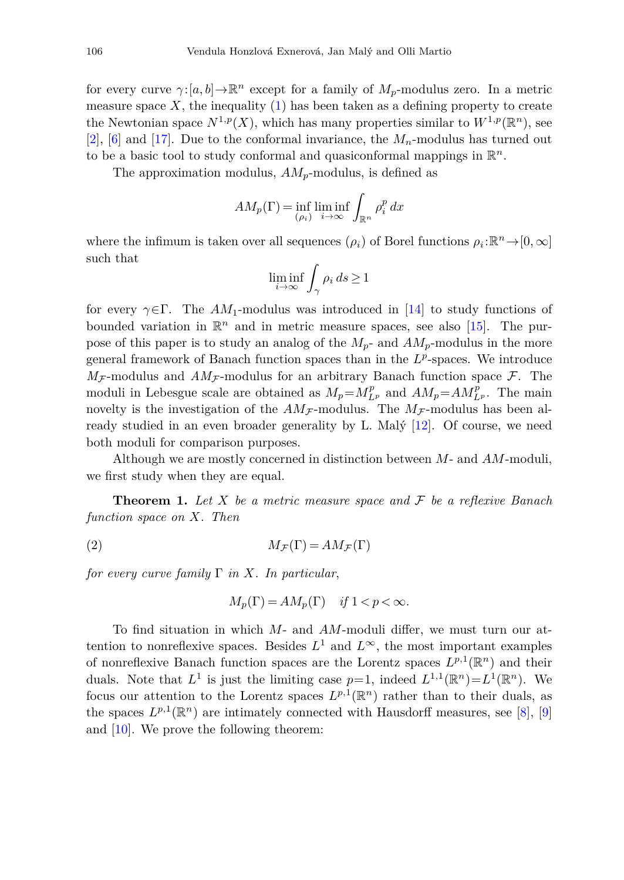for every curve  $\gamma: [a, b] \to \mathbb{R}^n$  except for a family of  $M_p$ -modulus zero. In a metric measure space  $X$ , the inequality  $(1)$  has been taken as a defining property to create the Newtonian space  $N^{1,p}(X)$ , which has many properties similar to  $W^{1,p}(\mathbb{R}^n)$ , see [\[2](#page-24-1)], [\[6](#page-24-2)] and [\[17](#page-25-0)]. Due to the conformal invariance, the  $M_n$ -modulus has turned out to be a basic tool to study conformal and quasiconformal mappings in R*n*.

The approximation modulus, *AMp*-modulus, is defined as

$$
AM_p(\Gamma) = \inf_{(\rho_i)} \liminf_{i \to \infty} \int_{\mathbb{R}^n} \rho_i^p dx
$$

where the infimum is taken over all sequences  $(\rho_i)$  of Borel functions  $\rho_i : \mathbb{R}^n \to [0, \infty]$ such that

$$
\liminf_{i\to\infty}\int_\gamma \rho_i\,ds\geq 1
$$

for every  $\gamma \in \Gamma$ . The *AM*<sub>1</sub>-modulus was introduced in [\[14](#page-25-1)] to study functions of bounded variation in  $\mathbb{R}^n$  and in metric measure spaces, see also [\[15](#page-25-2)]. The purpose of this paper is to study an analog of the *Mp*- and *AMp*-modulus in the more general framework of Banach function spaces than in the *L<sup>p</sup>*-spaces. We introduce  $M_{\mathcal{F}}$ -modulus and  $AM_{\mathcal{F}}$ -modulus for an arbitrary Banach function space  $\mathcal{F}$ . The moduli in Lebesgue scale are obtained as  $M_p = M_{L^p}^p$  and  $AM_p = AM_{L^p}^p$ . The main novelty is the investigation of the  $AM_{\mathcal{F}}$ -modulus. The  $M_{\mathcal{F}}$ -modulus has been already studied in an even broader generality by L. Malý [\[12\]](#page-25-3). Of course, we need both moduli for comparison purposes.

Although we are mostly concerned in distinction between *M*- and *AM*-moduli, we first study when they are equal.

<span id="page-1-0"></span>**Theorem 1.** Let  $X$  be a metric measure space and  $\mathcal F$  be a reflexive Banach function space on *X*. Then

(2) 
$$
M_{\mathcal{F}}(\Gamma) = AM_{\mathcal{F}}(\Gamma)
$$

for every curve family  $\Gamma$  in X. In particular,

$$
M_p(\Gamma) = AM_p(\Gamma) \quad \text{if } 1 < p < \infty.
$$

To find situation in which *M*- and *AM*-moduli differ, we must turn our attention to nonreflexive spaces. Besides  $L^1$  and  $L^{\infty}$ , the most important examples of nonreflexive Banach function spaces are the Lorentz spaces  $L^{p,1}(\mathbb{R}^n)$  and their duals. Note that  $L^1$  is just the limiting case  $p=1$ , indeed  $L^{1,1}(\mathbb{R}^n)=L^1(\mathbb{R}^n)$ . We focus our attention to the Lorentz spaces  $L^{p,1}(\mathbb{R}^n)$  rather than to their duals, as the spaces  $L^{p,1}(\mathbb{R}^n)$  are intimately connected with Hausdorff measures, see [\[8\]](#page-25-4), [\[9\]](#page-25-5) and [\[10\]](#page-25-6). We prove the following theorem: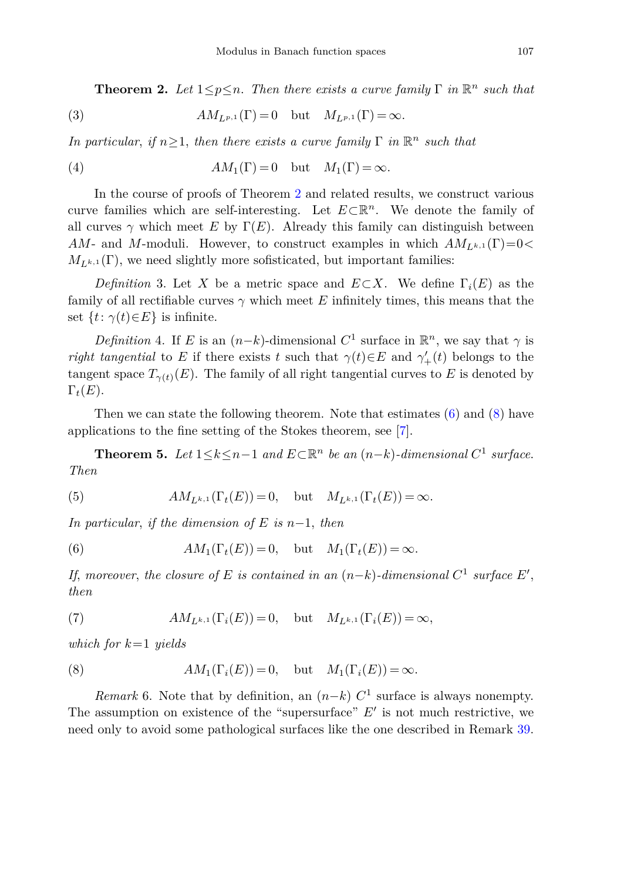<span id="page-2-0"></span>**Theorem 2.** Let  $1 \leq p \leq n$ . Then there exists a curve family  $\Gamma$  in  $\mathbb{R}^n$  such that

(3) 
$$
AM_{L^{p,1}}(\Gamma) = 0 \quad \text{but} \quad M_{L^{p,1}}(\Gamma) = \infty.
$$

In particular, if  $n>1$ , then there exists a curve family  $\Gamma$  in  $\mathbb{R}^n$  such that

(4) 
$$
AM_1(\Gamma) = 0 \quad \text{but} \quad M_1(\Gamma) = \infty.
$$

In the course of proofs of Theorem [2](#page-2-0) and related results, we construct various curve families which are self-interesting. Let *<sup>E</sup>*⊂R*n*. We denote the family of all curves  $\gamma$  which meet E by  $\Gamma(E)$ . Already this family can distinguish between *AM*- and *M*-moduli. However, to construct examples in which  $AM_{L^{k,1}}(\Gamma)=0$  $M_{L^{k,1}}(\Gamma)$ , we need slightly more sofisticated, but important families:

<span id="page-2-4"></span>*Definition* 3. Let *X* be a metric space and  $E \subset X$ . We define  $\Gamma_i(E)$  as the family of all rectifiable curves  $\gamma$  which meet E infinitely times, this means that the set  $\{t: \gamma(t) \in E\}$  is infinite.

<span id="page-2-5"></span>*Definition* 4. If *E* is an  $(n-k)$ -dimensional  $C^1$  surface in  $\mathbb{R}^n$ , we say that  $\gamma$  is *right tangential* to *E* if there exists *t* such that  $\gamma(t) \in E$  and  $\gamma'_{+}(t)$  belongs to the tangent space  $T_{\gamma(t)}(E)$ . The family of all right tangential curves to *E* is denoted by  $\Gamma_t(E)$ .

Then we can state the following theorem. Note that estimates  $(6)$  and  $(8)$  have applications to the fine setting of the Stokes theorem, see [\[7\]](#page-24-3).

<span id="page-2-3"></span>**Theorem 5.** Let  $1 \leq k \leq n-1$  and  $E \subset \mathbb{R}^n$  be an  $(n-k)$ -dimensional  $C^1$  surface. Then

(5) 
$$
AM_{L^{k,1}}(\Gamma_t(E)) = 0
$$
, but  $M_{L^{k,1}}(\Gamma_t(E)) = \infty$ .

<span id="page-2-1"></span>In particular, if the dimension of *E* is *n*−1, then

(6) 
$$
AM_1(\Gamma_t(E)) = 0, \quad \text{but} \quad M_1(\Gamma_t(E)) = \infty.
$$

If, moreover, the closure of *E* is contained in an  $(n-k)$ -dimensional  $C^1$  surface  $E'$ , then

(7) 
$$
AM_{L^{k,1}}(\Gamma_i(E))=0, \text{ but } M_{L^{k,1}}(\Gamma_i(E))=\infty,
$$

<span id="page-2-2"></span>which for *k*=1 yields

(8) 
$$
AM_1(\Gamma_i(E)) = 0, \quad \text{but} \quad M_1(\Gamma_i(E)) = \infty.
$$

*Remark* 6. Note that by definition, an  $(n-k)$  *C*<sup>1</sup> surface is always nonempty. The assumption on existence of the "supersurface"  $E'$  is not much restrictive, we need only to avoid some pathological surfaces like the one described in Remark [39.](#page-14-0)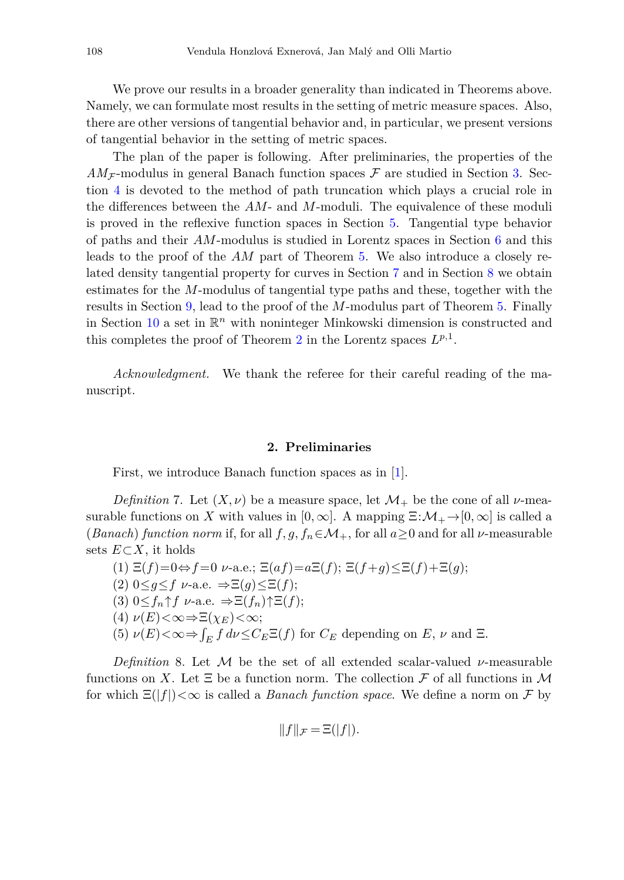We prove our results in a broader generality than indicated in Theorems above. Namely, we can formulate most results in the setting of metric measure spaces. Also, there are other versions of tangential behavior and, in particular, we present versions of tangential behavior in the setting of metric spaces.

The plan of the paper is following. After preliminaries, the properties of the  $AM_{\mathcal{F}}$ -modulus in general Banach function spaces  $\mathcal F$  are studied in Section [3.](#page-6-0) Section [4](#page-10-0) is devoted to the method of path truncation which plays a crucial role in the differences between the *AM*- and *M*-moduli. The equivalence of these moduli is proved in the reflexive function spaces in Section [5.](#page-11-0) Tangential type behavior of paths and their *AM*-modulus is studied in Lorentz spaces in Section [6](#page-12-0) and this leads to the proof of the *AM* part of Theorem [5.](#page-2-3) We also introduce a closely related density tangential property for curves in Section [7](#page-15-0) and in Section [8](#page-17-0) we obtain estimates for the *M*-modulus of tangential type paths and these, together with the results in Section [9,](#page-20-0) lead to the proof of the *M*-modulus part of Theorem [5.](#page-2-3) Finally in Section [10](#page-23-0) a set in  $\mathbb{R}^n$  with noninteger Minkowski dimension is constructed and this completes the proof of Theorem [2](#page-2-0) in the Lorentz spaces *Lp,*<sup>1</sup>.

*Acknowledgment.* We thank the referee for their careful reading of the manuscript.

#### **2. Preliminaries**

First, we introduce Banach function spaces as in [\[1\]](#page-24-4).

*Definition* 7. Let  $(X, \nu)$  be a measure space, let  $\mathcal{M}_+$  be the cone of all  $\nu$ -measurable functions on *X* with values in  $[0, \infty]$ . A mapping  $\Xi: \mathcal{M}_+ \to [0, \infty]$  is called a (*Banach*) *function norm* if, for all  $f, g, f_n \in M_+$ , for all  $a \ge 0$  and for all  $\nu$ -measurable sets *E*⊂*X*, it holds

(1)  $\Xi(f)=0 \Leftrightarrow f=0$  *ν*-a.e.;  $\Xi(af)=a\Xi(f);$   $\Xi(f+q)\leq \Xi(f)+\Xi(q);$ (2)  $0 \leq q \leq f$   $\nu$ -a.e.  $\Rightarrow \Xi(q) \leq \Xi(f);$  $(3)$   $0 \leq f_n \uparrow f$   $\nu$ -a.e.  $\Rightarrow \Xi(f_n) \uparrow \Xi(f)$ ; (4) *ν*(*E*)*<*∞⇒Ξ(*χE*)*<*∞; (5)  $\nu(E) < \infty \Rightarrow \int_E f \, d\nu \leq C_E \Xi(f)$  for  $C_E$  depending on  $E$ ,  $\nu$  and  $\Xi$ .

*Definition* 8. Let M be the set of all extended scalar-valued *ν*-measurable functions on X. Let  $\Xi$  be a function norm. The collection  $\mathcal F$  of all functions in M for which  $\Xi(|f|) < \infty$  is called a *Banach function space*. We define a norm on F by

$$
||f||_{\mathcal{F}} = \Xi(|f|).
$$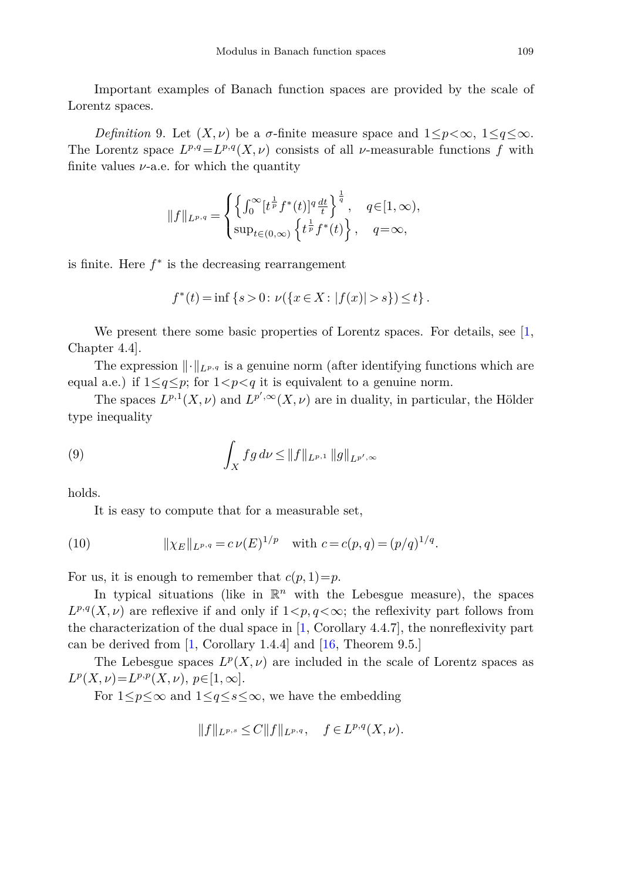Important examples of Banach function spaces are provided by the scale of Lorentz spaces.

*Definition* 9. Let  $(X, \nu)$  be a *σ*-finite measure space and  $1 \leq p \leq \infty$ ,  $1 \leq q \leq \infty$ . The Lorentz space  $L^{p,q}=L^{p,q}(X,\nu)$  consists of all  $\nu$ -measurable functions *f* with finite values  $\nu$ -a.e. for which the quantity

$$
||f||_{L^{p,q}} = \begin{cases} \left\{ \int_0^\infty [t^{\frac{1}{p}} f^*(t)]^q \frac{dt}{t} \right\}^{\frac{1}{q}}, & q \in [1, \infty), \\ \sup_{t \in (0, \infty)} \left\{ t^{\frac{1}{p}} f^*(t) \right\}, & q = \infty, \end{cases}
$$

is finite. Here  $f^*$  is the decreasing rearrangement

$$
f^*(t) = \inf \{ s > 0 \colon \nu(\{ x \in X \colon |f(x)| > s \}) \le t \}.
$$

We present there some basic properties of Lorentz spaces. For details, see  $[1,$ Chapter 4.4].

The expression  $\|\cdot\|_{L^{p,q}}$  is a genuine norm (after identifying functions which are equal a.e.) if  $1 \leq q \leq p$ ; for  $1 < p < q$  it is equivalent to a genuine norm.

<span id="page-4-1"></span>The spaces  $L^{p,1}(X,\nu)$  and  $L^{p',\infty}(X,\nu)$  are in duality, in particular, the Hölder type inequality

(9) 
$$
\int_X fg \, d\nu \le ||f||_{L^{p,1}} ||g||_{L^{p',\infty}}
$$

holds.

<span id="page-4-0"></span>It is easy to compute that for a measurable set,

(10) 
$$
\|\chi_E\|_{L^{p,q}} = c \nu(E)^{1/p} \text{ with } c = c(p,q) = (p/q)^{1/q}.
$$

For us, it is enough to remember that  $c(p, 1)=p$ .

In typical situations (like in  $\mathbb{R}^n$  with the Lebesgue measure), the spaces  $L^{p,q}(X,\nu)$  are reflexive if and only if  $1 < p,q < \infty$ ; the reflexivity part follows from the characterization of the dual space in  $[1,$  Corollary 4.4.7], the nonreflexivity part can be derived from [\[1](#page-24-4), Corollary 1.4.4] and [\[16](#page-25-7), Theorem 9.5.]

The Lebesgue spaces  $L^p(X, \nu)$  are included in the scale of Lorentz spaces as  $L^p(X, \nu) = L^{p,p}(X, \nu), p \in [1, \infty].$ 

For  $1 \leq p \leq \infty$  and  $1 \leq q \leq s \leq \infty$ , we have the embedding

$$
||f||_{L^{p,s}} \leq C||f||_{L^{p,q}}, \quad f \in L^{p,q}(X,\nu).
$$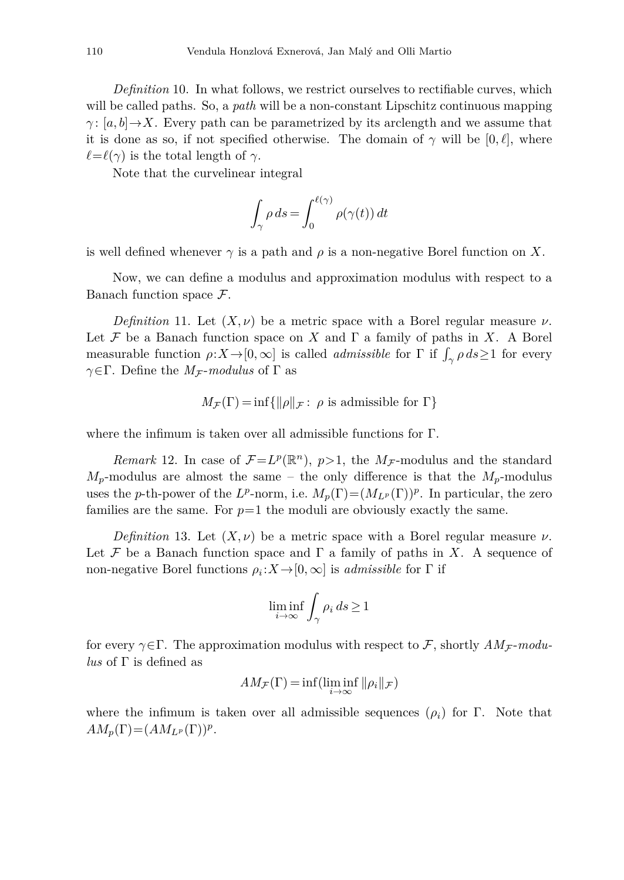*Definition* 10. In what follows, we restrict ourselves to rectifiable curves, which will be called paths. So, a *path* will be a non-constant Lipschitz continuous mapping *γ*: [*a, b*]  $\rightarrow$ *X*. Every path can be parametrized by its arclength and we assume that it is done as so, if not specified otherwise. The domain of  $\gamma$  will be  $[0, \ell]$ , where  $\ell = \ell(\gamma)$  is the total length of  $\gamma$ .

Note that the curvelinear integral

$$
\int_{\gamma} \rho \, ds = \int_0^{\ell(\gamma)} \rho(\gamma(t)) \, dt
$$

is well defined whenever  $\gamma$  is a path and  $\rho$  is a non-negative Borel function on X.

Now, we can define a modulus and approximation modulus with respect to a Banach function space F.

*Definition* 11. Let  $(X, \nu)$  be a metric space with a Borel regular measure  $\nu$ . Let F be a Banach function space on X and  $\Gamma$  a family of paths in X. A Borel measurable function  $\rho: X \to [0, \infty]$  is called *admissible* for  $\Gamma$  if  $\int_{\gamma} \rho ds \ge 1$  for every *γ*∈Γ. Define the *M<sub>F</sub>*-*modulus* of Γ as

$$
M_{\mathcal{F}}(\Gamma) = \inf \{ ||\rho||_{\mathcal{F}} : \rho \text{ is admissible for } \Gamma \}
$$

where the infimum is taken over all admissible functions for Γ.

*Remark* 12. In case of  $\mathcal{F}=L^p(\mathbb{R}^n)$ ,  $p>1$ , the  $M_{\mathcal{F}}$ -modulus and the standard  $M_p$ -modulus are almost the same – the only difference is that the  $M_p$ -modulus uses the *p*-th-power of the *L<sup>p</sup>*-norm, i.e.  $M_p(\Gamma) = (M_{L^p}(\Gamma))^p$ . In particular, the zero families are the same. For  $p=1$  the moduli are obviously exactly the same.

*Definition* 13. Let  $(X, \nu)$  be a metric space with a Borel regular measure  $\nu$ . Let F be a Banach function space and  $\Gamma$  a family of paths in X. A sequence of non-negative Borel functions  $\rho_i : X \to [0, \infty]$  is *admissible* for  $\Gamma$  if

$$
\liminf_{i\to\infty}\int_\gamma \rho_i\,ds\geq 1
$$

for every  $\gamma \in \Gamma$ . The approximation modulus with respect to F, shortly  $AM_{\mathcal{F}}$ -modu*lus* of Γ is defined as

$$
AM_{\mathcal{F}}(\Gamma) = \inf(\liminf_{i \to \infty} ||\rho_i||_{\mathcal{F}})
$$

where the infimum is taken over all admissible sequences  $(\rho_i)$  for  $\Gamma$ . Note that  $AM_p(\Gamma) = (AM_{L^p}(\Gamma))^p$ .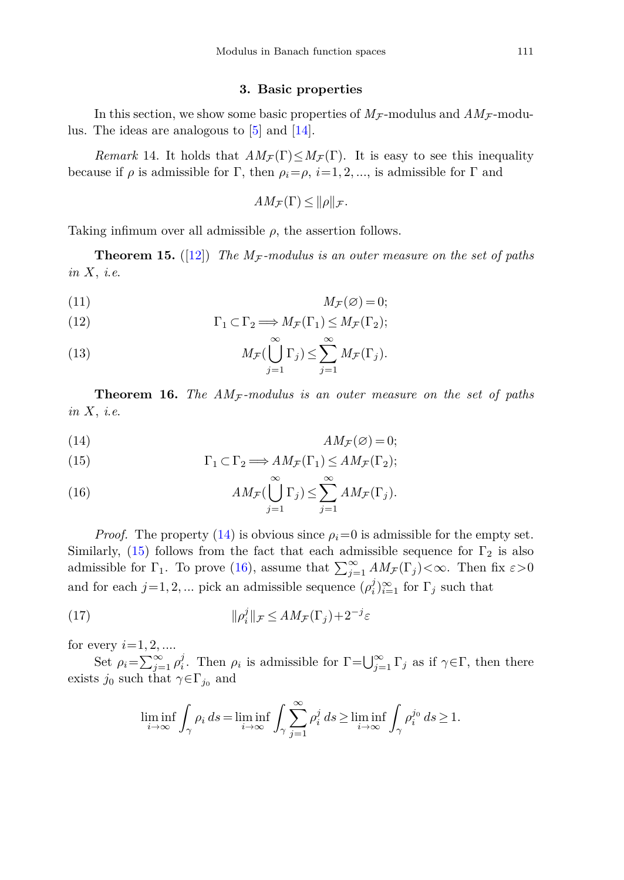#### **3. Basic properties**

<span id="page-6-0"></span>In this section, we show some basic properties of  $M_F$ -modulus and  $AM_F$ -modulus. The ideas are analogous to [\[5\]](#page-24-0) and [\[14](#page-25-1)].

<span id="page-6-5"></span>*Remark* 14. It holds that  $AM_{\mathcal{F}}(\Gamma) \leq M_{\mathcal{F}}(\Gamma)$ . It is easy to see this inequality because if  $\rho$  is admissible for  $\Gamma$ , then  $\rho_i = \rho$ ,  $i = 1, 2, \dots$ , is admissible for  $\Gamma$  and

$$
AM_{\mathcal{F}}(\Gamma) \leq ||\rho||_{\mathcal{F}}.
$$

Taking infimum over all admissible  $\rho$ , the assertion follows.

<span id="page-6-4"></span>**Theorem 15.** ([\[12\]](#page-25-3)) The  $M_F$ -modulus is an outer measure on the set of paths in *X*, i.e.

$$
(11) \t\t M_{\mathcal{F}}(\varnothing) = 0;
$$

(12) 
$$
\Gamma_1 \subset \Gamma_2 \Longrightarrow M_{\mathcal{F}}(\Gamma_1) \leq M_{\mathcal{F}}(\Gamma_2);
$$

(13) 
$$
M_{\mathcal{F}}(\bigcup_{j=1}^{\infty} \Gamma_j) \leq \sum_{j=1}^{\infty} M_{\mathcal{F}}(\Gamma_j).
$$

<span id="page-6-6"></span>**Theorem 16.** The  $AM_{\mathcal{F}}$ -modulus is an outer measure on the set of paths in *X*, i.e.

<span id="page-6-1"></span>
$$
(14) \t\t AM_{\mathcal{F}}(\varnothing) = 0;
$$

<span id="page-6-2"></span>(15) 
$$
\Gamma_1 \subset \Gamma_2 \Longrightarrow AM_{\mathcal{F}}(\Gamma_1) \le AM_{\mathcal{F}}(\Gamma_2);
$$

<span id="page-6-3"></span>(16) 
$$
AM_{\mathcal{F}}(\bigcup_{j=1}^{\infty}\Gamma_j) \leq \sum_{j=1}^{\infty} AM_{\mathcal{F}}(\Gamma_j).
$$

*Proof.* The property [\(14\)](#page-6-1) is obvious since  $\rho_i = 0$  is admissible for the empty set. Similarly, [\(15\)](#page-6-2) follows from the fact that each admissible sequence for  $\Gamma_2$  is also admissible for  $\Gamma_1$ . To prove [\(16\)](#page-6-3), assume that  $\sum_{j=1}^{\infty} AM_{\mathcal{F}}(\Gamma_j) < \infty$ . Then fix  $\varepsilon > 0$ and for each  $j=1, 2, ...$  pick an admissible sequence  $(\rho_i^j)_{i=1}^\infty$  for  $\Gamma_j$  such that

(17) 
$$
\|\rho_i^j\|_{\mathcal{F}} \le AM_{\mathcal{F}}(\Gamma_j) + 2^{-j}\varepsilon
$$

for every  $i = 1, 2, ...$ 

Set  $\rho_i = \sum_{j=1}^{\infty} \rho_i^j$ . Then  $\rho_i$  is admissible for  $\Gamma = \bigcup_{j=1}^{\infty} \Gamma_j$  as if  $\gamma \in \Gamma$ , then there exists  $j_0$  such that  $\gamma \in \Gamma_{j_0}$  and

$$
\liminf_{i \to \infty} \int_{\gamma} \rho_i \, ds = \liminf_{i \to \infty} \int_{\gamma} \sum_{j=1}^{\infty} \rho_i^j \, ds \ge \liminf_{i \to \infty} \int_{\gamma} \rho_i^{j_0} \, ds \ge 1.
$$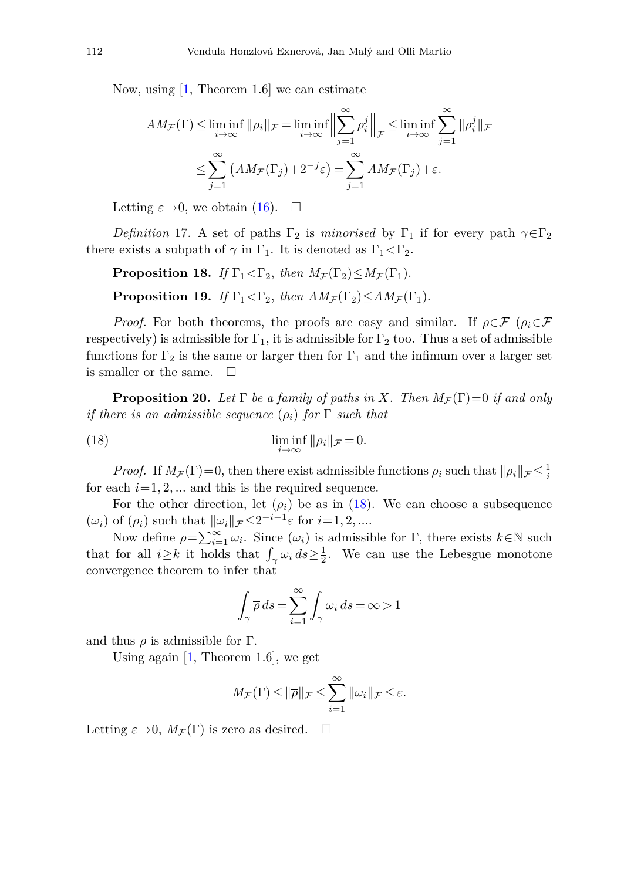Now, using  $\left[1, \text{Theorem } 1.6\right]$  $\left[1, \text{Theorem } 1.6\right]$  $\left[1, \text{Theorem } 1.6\right]$  we can estimate

$$
AM_{\mathcal{F}}(\Gamma) \le \liminf_{i \to \infty} \|\rho_i\|_{\mathcal{F}} = \liminf_{i \to \infty} \left\| \sum_{j=1}^{\infty} \rho_i^j \right\|_{\mathcal{F}} \le \liminf_{i \to \infty} \sum_{j=1}^{\infty} \|\rho_i^j\|_{\mathcal{F}}
$$

$$
\le \sum_{j=1}^{\infty} \left( AM_{\mathcal{F}}(\Gamma_j) + 2^{-j}\varepsilon \right) = \sum_{j=1}^{\infty} AM_{\mathcal{F}}(\Gamma_j) + \varepsilon.
$$

Letting  $\varepsilon \to 0$ , we obtain [\(16\)](#page-6-3).  $\Box$ 

*Definition* 17. A set of paths  $\Gamma_2$  is *minorised* by  $\Gamma_1$  if for every path  $\gamma \in \Gamma_2$ there exists a subpath of  $\gamma$  in  $\Gamma_1$ . It is denoted as  $\Gamma_1 \leq \Gamma_2$ .

**Proposition 18.** If  $\Gamma_1 < \Gamma_2$ , then  $M_{\mathcal{F}}(\Gamma_2) \leq M_{\mathcal{F}}(\Gamma_1)$ . **Proposition 19.** If  $\Gamma_1 < \Gamma_2$ , then  $AM_{\mathcal{F}}(\Gamma_2) < AM_{\mathcal{F}}(\Gamma_1)$ .

*Proof.* For both theorems, the proofs are easy and similar. If  $\rho \in \mathcal{F}$  ( $\rho_i \in \mathcal{F}$ respectively) is admissible for  $\Gamma_1$ , it is admissible for  $\Gamma_2$  too. Thus a set of admissible functions for  $\Gamma_2$  is the same or larger then for  $\Gamma_1$  and the infimum over a larger set is smaller or the same.  $\Box$ 

**Proposition 20.** Let  $\Gamma$  be a family of paths in X. Then  $M_{\mathcal{F}}(\Gamma)=0$  if and only if there is an admissible sequence  $(\rho_i)$  for  $\Gamma$  such that

(18) 
$$
\liminf_{i \to \infty} ||\rho_i||_{\mathcal{F}} = 0.
$$

*Proof.* If  $M_F(\Gamma)=0$ , then there exist admissible functions  $\rho_i$  such that  $\|\rho_i\|_{\mathcal{F}} \leq \frac{1}{i}$ for each  $i=1, 2, \ldots$  and this is the required sequence.

For the other direction, let  $(\rho_i)$  be as in [\(18\)](#page-7-0). We can choose a subsequence  $(\omega_i)$  of  $(\rho_i)$  such that  $\|\omega_i\|_{\mathcal{F}} \leq 2^{-i-1} \varepsilon$  for  $i=1,2,...$ 

Now define  $\overline{\rho} = \sum_{i=1}^{\infty} \omega_i$ . Since  $(\omega_i)$  is admissible for  $\Gamma$ , there exists  $k \in \mathbb{N}$  such that for all  $i \geq k$  it holds that  $\int_{\gamma} \omega_i \, ds \geq \frac{1}{2}$ . We can use the Lebesgue monotone convergence theorem to infer that

<span id="page-7-0"></span>
$$
\int_{\gamma} \overline{\rho} \, ds = \sum_{i=1}^{\infty} \int_{\gamma} \omega_i \, ds = \infty > 1
$$

and thus  $\bar{\rho}$  is admissible for  $\Gamma$ .

Using again  $[1,$  $[1,$  Theorem 1.6, we get

$$
M_{\mathcal{F}}(\Gamma) \leq ||\overline{\rho}||_{\mathcal{F}} \leq \sum_{i=1}^{\infty} ||\omega_i||_{\mathcal{F}} \leq \varepsilon.
$$

Letting  $\varepsilon \to 0$ ,  $M_{\mathcal{F}}(\Gamma)$  is zero as desired.  $\Box$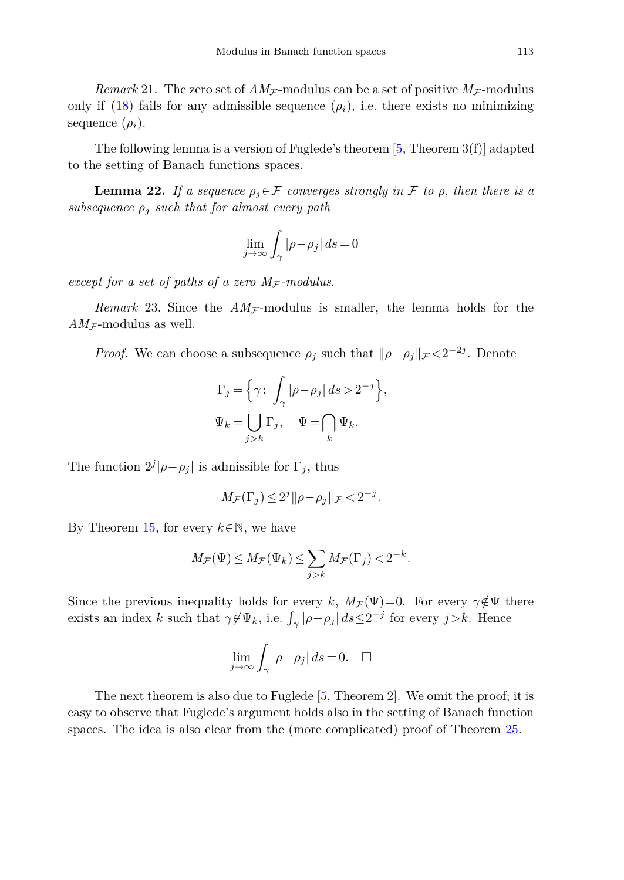*Remark* 21. The zero set of  $AM_{\mathcal{F}}$ -modulus can be a set of positive  $M_{\mathcal{F}}$ -modulus only if [\(18\)](#page-7-0) fails for any admissible sequence  $(\rho_i)$ , i.e. there exists no minimizing sequence  $(\rho_i)$ .

The following lemma is a version of Fuglede's theorem  $[5,$  Theorem  $3(f)$ ] adapted to the setting of Banach functions spaces.

<span id="page-8-0"></span>**Lemma 22.** If a sequence  $\rho_j \in \mathcal{F}$  converges strongly in F to  $\rho$ , then there is a subsequence  $\rho_j$  such that for almost every path

$$
\lim_{j \to \infty} \int_{\gamma} |\rho - \rho_j| \, ds = 0
$$

except for a set of paths of a zero  $M_{\mathcal{F}}$ -modulus.

*Remark* 23. Since the  $AM_{\mathcal{F}}$ -modulus is smaller, the lemma holds for the  $AM_{\mathcal{F}}$ -modulus as well.

*Proof.* We can choose a subsequence  $\rho_j$  such that  $\|\rho - \rho_j\|_{\mathcal{F}} < 2^{-2j}$ . Denote

$$
\Gamma_j = \left\{ \gamma \colon \int_{\gamma} |\rho - \rho_j| \, ds > 2^{-j} \right\},
$$
  

$$
\Psi_k = \bigcup_{j > k} \Gamma_j, \quad \Psi = \bigcap_k \Psi_k.
$$

The function  $2^{j}|\rho-\rho_j|$  is admissible for  $\Gamma_j$ , thus

$$
M_{\mathcal{F}}(\Gamma_j) \le 2^j \|\rho - \rho_j\|_{\mathcal{F}} < 2^{-j}.
$$

By Theorem [15,](#page-6-4) for every *<sup>k</sup>*∈N, we have

$$
M_{\mathcal{F}}(\Psi)\leq M_{\mathcal{F}}(\Psi_k)\leq \sum_{j>k}M_{\mathcal{F}}(\Gamma_j)<2^{-k}.
$$

Since the previous inequality holds for every *k*,  $M_F(\Psi)=0$ . For every  $\gamma \notin \Psi$  there exists an index *k* such that  $\gamma \notin \Psi_k$ , i.e.  $\int_{\gamma} |\rho - \rho_j| \, ds \leq 2^{-j}$  for every  $j > k$ . Hence

$$
\lim_{j \to \infty} \int_{\gamma} |\rho - \rho_j| \, ds = 0. \quad \Box
$$

The next theorem is also due to Fuglede [\[5,](#page-24-0) Theorem 2]. We omit the proof; it is easy to observe that Fuglede's argument holds also in the setting of Banach function spaces. The idea is also clear from the (more complicated) proof of Theorem [25.](#page-9-0)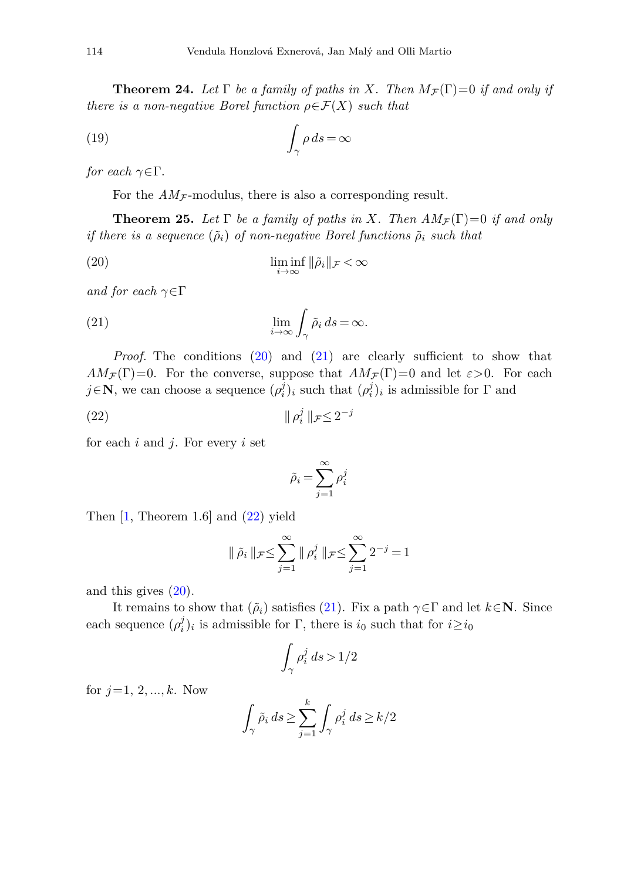<span id="page-9-4"></span>**Theorem 24.** Let  $\Gamma$  be a family of paths in *X*. Then  $M_F(\Gamma)=0$  if and only if there is a non-negative Borel function  $\rho \in \mathcal{F}(X)$  such that

(19) 
$$
\int_{\gamma} \rho \, ds = \infty
$$

for each  $\gamma \in \Gamma$ .

For the  $AM_{\mathcal{F}}$ -modulus, there is also a corresponding result.

<span id="page-9-0"></span>**Theorem 25.** Let  $\Gamma$  be a family of paths in *X*. Then  $AM_{\mathcal{F}}(\Gamma)=0$  if and only if there is a sequence  $(\tilde{\rho}_i)$  of non-negative Borel functions  $\tilde{\rho}_i$  such that

(20) 
$$
\liminf_{i \to \infty} \|\tilde{\rho}_i\|_{\mathcal{F}} < \infty
$$

<span id="page-9-2"></span>and for each *γ*∈Γ

(21) 
$$
\lim_{i \to \infty} \int_{\gamma} \tilde{\rho}_i ds = \infty.
$$

*Proof.* The conditions [\(20\)](#page-9-1) and [\(21\)](#page-9-2) are clearly sufficient to show that  $AM_{\mathcal{F}}(\Gamma)=0$ . For the converse, suppose that  $AM_{\mathcal{F}}(\Gamma)=0$  and let  $\varepsilon>0$ . For each *j*∈**N**, we can choose a sequence  $(\rho_i^j)_i$  such that  $(\rho_i^j)_i$  is admissible for  $\Gamma$  and

(22) *ρ<sup>j</sup> <sup>i</sup>* <sup>F</sup> <sup>≤</sup> <sup>2</sup>−*<sup>j</sup>*

for each *i* and *j*. For every *i* set

<span id="page-9-3"></span><span id="page-9-1"></span>
$$
\tilde{\rho}_i = \sum_{j=1}^{\infty} \rho_i^j
$$

Then  $[1,$  $[1,$  Theorem 1.6 and  $(22)$  yield

$$
\|\tilde{\rho}_i\|_{\mathcal{F}} \le \sum_{j=1}^{\infty} \|\rho_i^j\|_{\mathcal{F}} \le \sum_{j=1}^{\infty} 2^{-j} = 1
$$

and this gives [\(20\)](#page-9-1).

It remains to show that  $(\tilde{\rho}_i)$  satisfies [\(21\)](#page-9-2). Fix a path  $\gamma \in \Gamma$  and let  $k \in \mathbb{N}$ . Since each sequence  $(\rho_i^j)_i$  is admissible for  $\Gamma$ , there is  $i_0$  such that for  $i \ge i_0$ 

$$
\int_{\gamma}\rho_i^j\,ds\,{>}\,1/2
$$

for *j*=1*,* 2*, ..., k*. Now

$$
\int_{\gamma} \tilde{\rho}_i ds \ge \sum_{j=1}^k \int_{\gamma} \rho_i^j ds \ge k/2
$$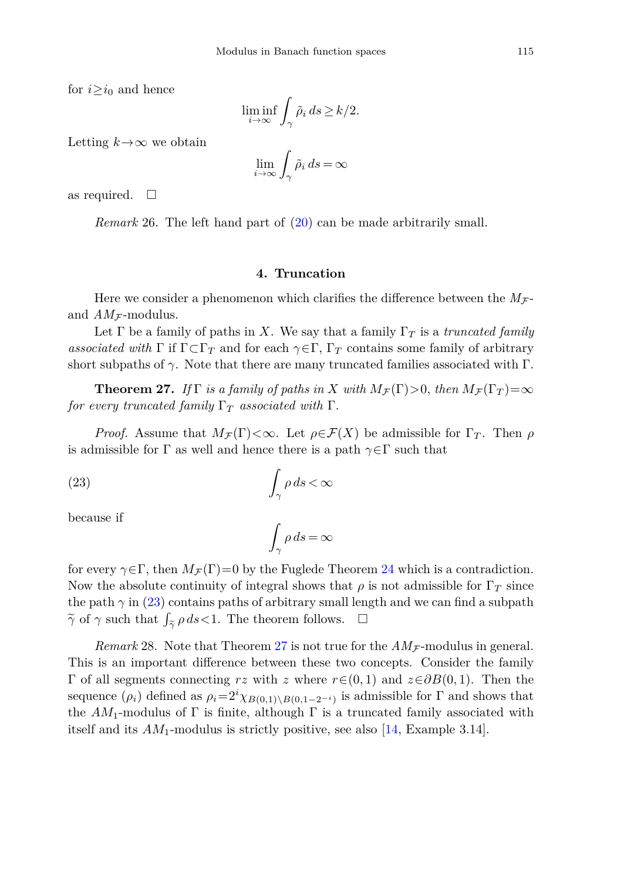for  $i \geq i_0$  and hence

$$
\liminf_{i \to \infty} \int_{\gamma} \tilde{\rho}_i \, ds \ge k/2.
$$

Letting  $k \rightarrow \infty$  we obtain

$$
\lim_{i \to \infty} \int_{\gamma} \tilde{\rho}_i \, ds = \infty
$$

as required.  $\Box$ 

*Remark* 26. The left hand part of  $(20)$  can be made arbitrarily small.

## **4. Truncation**

<span id="page-10-0"></span>Here we consider a phenomenon which clarifies the difference between the  $M_{\mathcal{F}}$ and  $AM_{\mathcal{F}}$ -modulus.

Let  $\Gamma$  be a family of paths in *X*. We say that a family  $\Gamma_T$  is a *truncated family associated with*  $\Gamma$  if  $\Gamma \subset \Gamma_T$  and for each  $\gamma \in \Gamma$ ,  $\Gamma_T$  contains some family of arbitrary short subpaths of  $\gamma$ . Note that there are many truncated families associated with  $\Gamma$ .

<span id="page-10-2"></span>**Theorem 27.** If  $\Gamma$  is a family of paths in X with  $M_{\mathcal{F}}(\Gamma) > 0$ , then  $M_{\mathcal{F}}(\Gamma_T) = \infty$ for every truncated family  $\Gamma_T$  associated with  $\Gamma$ .

*Proof.* Assume that  $M_F(\Gamma) < \infty$ . Let  $\rho \in \mathcal{F}(X)$  be admissible for  $\Gamma_T$ . Then  $\rho$ is admissible for  $\Gamma$  as well and hence there is a path  $\gamma \in \Gamma$  such that

$$
\int_{\gamma} \rho \, ds < \infty
$$

because if

<span id="page-10-1"></span>
$$
\int_{\gamma} \rho \, ds = \infty
$$

for every  $\gamma \in \Gamma$ , then  $M_{\mathcal{F}}(\Gamma) = 0$  by the Fuglede Theorem [24](#page-9-4) which is a contradiction. Now the absolute continuity of integral shows that  $\rho$  is not admissible for  $\Gamma_T$  since the path  $\gamma$  in [\(23\)](#page-10-1) contains paths of arbitrary small length and we can find a subpath  $\widetilde{\gamma}$  of  $\gamma$  such that  $\int_{\widetilde{\gamma}} \rho ds < 1$ . The theorem follows.  $\Box$ **c**<br>c<br> $\widetilde{\gamma}$ 

*Remark* 28. Note that Theorem [27](#page-10-2) is not true for the  $AM_{\mathcal{F}}$ -modulus in general. This is an important difference between these two concepts. Consider the family Γ of all segments connecting *rz* with *z* where  $r ∈ (0, 1)$  and  $z ∈ ∂B(0, 1)$ . Then the sequence  $(\rho_i)$  defined as  $\rho_i = 2^i \chi_{B(0,1) \setminus B(0,1-2^{-i})}$  is admissible for  $\Gamma$  and shows that the  $AM_1$ -modulus of  $\Gamma$  is finite, although  $\Gamma$  is a truncated family associated with itself and its *AM*1-modulus is strictly positive, see also [\[14,](#page-25-1) Example 3.14].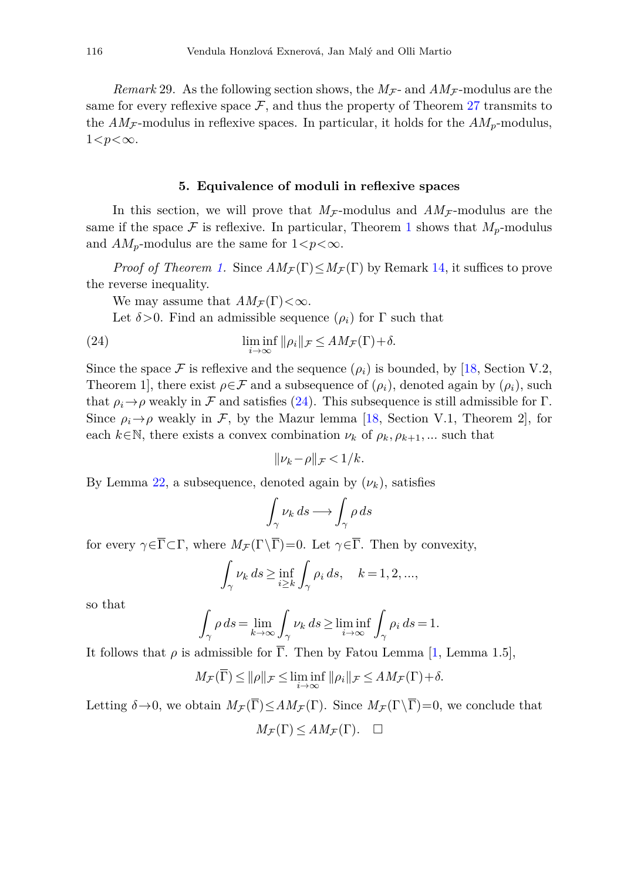*Remark* 29. As the following section shows, the  $M_F$ - and  $AM_F$ -modulus are the same for every reflexive space  $\mathcal{F}$ , and thus the property of Theorem [27](#page-10-2) transmits to the  $AM_{\mathcal{F}}$ -modulus in reflexive spaces. In particular, it holds for the  $AM_p$ -modulus, 1*<p<*∞.

#### **5. Equivalence of moduli in reflexive spaces**

<span id="page-11-0"></span>In this section, we will prove that  $M_F$ -modulus and  $AM_F$ -modulus are the same if the space  $\mathcal F$  is reflexive. In particular, Theorem [1](#page-1-0) shows that  $M_p$ -modulus and  $AM_p$ -modulus are the same for  $1 < p < \infty$ .

*Proof of Theorem [1.](#page-1-0)* Since  $AM_{\mathcal{F}}(\Gamma) \leq M_{\mathcal{F}}(\Gamma)$  by Remark [14,](#page-6-5) it suffices to prove the reverse inequality.

We may assume that  $AM_{\mathcal{F}}(\Gamma)<\infty$ .

Let  $\delta > 0$ . Find an admissible sequence  $(\rho_i)$  for  $\Gamma$  such that

(24) 
$$
\liminf_{i \to \infty} ||\rho_i||_{\mathcal{F}} \leq AM_{\mathcal{F}}(\Gamma) + \delta.
$$

Since the space  $\mathcal F$  is reflexive and the sequence  $(\rho_i)$  is bounded, by [\[18](#page-25-8), Section V.2, Theorem 1], there exist  $\rho \in \mathcal{F}$  and a subsequence of  $(\rho_i)$ , denoted again by  $(\rho_i)$ , such that  $\rho_i \rightarrow \rho$  weakly in F and satisfies [\(24\)](#page-11-1). This subsequence is still admissible for Γ. Since  $\rho_i \rightarrow \rho$  weakly in F, by the Mazur lemma [\[18,](#page-25-8) Section V.1, Theorem 2], for each  $k \in \mathbb{N}$ , there exists a convex combination  $\nu_k$  of  $\rho_k$ ,  $\rho_{k+1}$ , ... such that

<span id="page-11-1"></span>
$$
\|\nu_k-\rho\|_{\mathcal{F}}<1/k.
$$

By Lemma [22,](#page-8-0) a subsequence, denoted again by  $(\nu_k)$ , satisfies

$$
\int_\gamma \nu_k \, ds \longrightarrow \int_\gamma \rho \, ds
$$

for every  $\gamma \in \overline{\Gamma} \subset \Gamma$ , where  $M_{\mathcal{F}}(\Gamma \backslash \overline{\Gamma})=0$ . Let  $\gamma \in \overline{\Gamma}$ . Then by convexity,

$$
\int_{\gamma} \nu_k ds \ge \inf_{i \ge k} \int_{\gamma} \rho_i ds, \quad k = 1, 2, ...,
$$

so that

$$
\int_{\gamma}\rho\,ds=\lim_{k\to\infty}\int_{\gamma}\nu_k\,ds\geq \liminf_{i\to\infty}\int_{\gamma}\rho_i\,ds=1.
$$

It follows that  $\rho$  is admissible for  $\overline{\Gamma}$ . Then by Fatou Lemma [\[1,](#page-24-4) Lemma 1.5],

$$
M_{\mathcal{F}}(\overline{\Gamma}) \le ||\rho||_{\mathcal{F}} \le \liminf_{i \to \infty} ||\rho_i||_{\mathcal{F}} \le AM_{\mathcal{F}}(\Gamma) + \delta.
$$

Letting  $\delta \rightarrow 0$ , we obtain  $M_{\mathcal{F}}(\overline{\Gamma}) \leq AM_{\mathcal{F}}(\Gamma)$ . Since  $M_{\mathcal{F}}(\Gamma \setminus \overline{\Gamma})=0$ , we conclude that

$$
M_{\mathcal{F}}(\Gamma) \leq AM_{\mathcal{F}}(\Gamma). \quad \ \Box
$$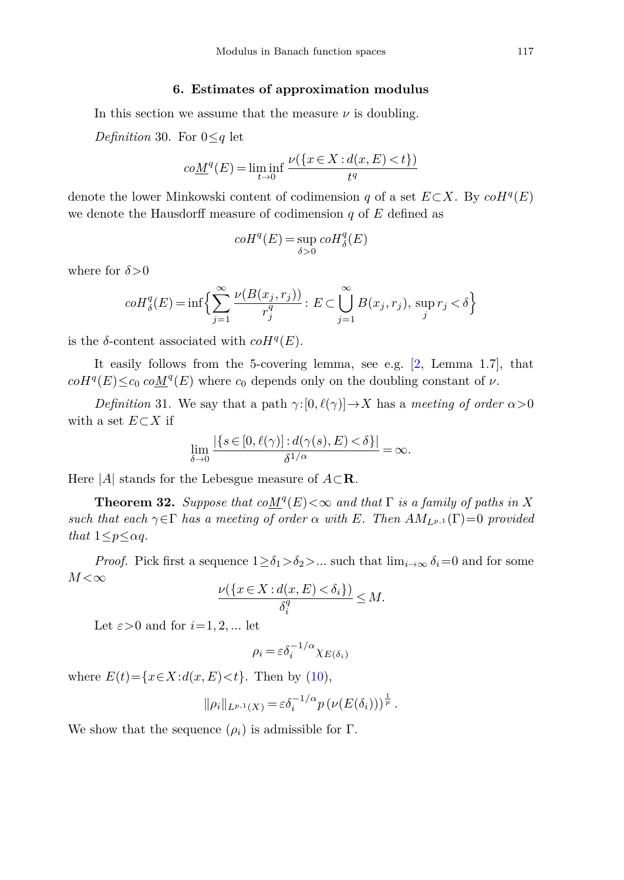## **6. Estimates of approximation modulus**

<span id="page-12-0"></span>In this section we assume that the measure  $\nu$  is doubling.

*Definition* 30. For 0≤*q* let

$$
co\underline{M}^{q}(E) = \liminf_{t \to 0} \frac{\nu(\{x \in X : d(x, E) < t\})}{t^{q}}
$$

denote the lower Minkowski content of codimension *q* of a set  $E \subset X$ . By  $coH<sup>q</sup>(E)$ we denote the Hausdorff measure of codimension *q* of *E* defined as

$$
coH^q(E)=\sup_{\delta>0}coH^q_{\delta}(E)
$$

where for  $\delta$  >0

$$
coH_{\delta}^{q}(E) = \inf \Big\{ \sum_{j=1}^{\infty} \frac{\nu(B(x_j, r_j))}{r_j^q} : E \subset \bigcup_{j=1}^{\infty} B(x_j, r_j), \sup_j r_j < \delta \Big\}
$$

is the *δ*-content associated with  $coH<sup>q</sup>(E)$ .

It easily follows from the 5-covering lemma, see e.g. [\[2,](#page-24-1) Lemma 1.7], that  $coH<sup>q</sup>(E) \leq c_0 \cdot coM<sup>q</sup>(E)$  where  $c_0$  depends only on the doubling constant of *ν*.

*Definition* 31. We say that a path  $\gamma$ : [0*, l(* $\gamma$ )]  $\rightarrow$  *X* has a *meeting of order*  $\alpha$  > 0 with a set *E*⊂*X* if

$$
\lim_{\delta \to 0} \frac{|\{s \in [0, \ell(\gamma)] : d(\gamma(s), E) < \delta\}|}{\delta^{1/\alpha}} = \infty.
$$

Here  $|A|$  stands for the Lebesgue measure of  $A \subset \mathbf{R}$ .

**Theorem 32.** Suppose that  $coM<sup>q</sup>(E) < \infty$  and that  $\Gamma$  is a family of paths in *X* such that each  $\gamma \in \Gamma$  has a meeting of order  $\alpha$  with *E*. Then  $AM_{L^{p,1}}(\Gamma) = 0$  provided that  $1 \leq p \leq \alpha q$ .

*Proof.* Pick first a sequence  $1 \ge \delta_1 > \delta_2 > ...$  such that  $\lim_{i \to \infty} \delta_i = 0$  and for some  $M < \infty$ *M* < $\infty$  *v*({*x*∈ *X* : *d*(*x, E*) < *δ*<sup>*i*</sup>})

$$
\frac{\nu(\{x \in X : d(x, E) < \delta_i\})}{\delta_i^q} \le M.
$$

Let  $\varepsilon > 0$  and for  $i = 1, 2, ...$  let

$$
\rho_i = \varepsilon \delta_i^{-1/\alpha} \chi_{E(\delta_i)}
$$

where  $E(t) = \{x \in X : d(x, E) < t\}$ . Then by [\(10\)](#page-4-0),

$$
\|\rho_i\|_{L^{p,1}(X)} = \varepsilon \delta_i^{-1/\alpha} p\left(\nu(E(\delta_i))\right)^{\frac{1}{p}}.
$$

We show that the sequence  $(\rho_i)$  is admissible for  $\Gamma$ .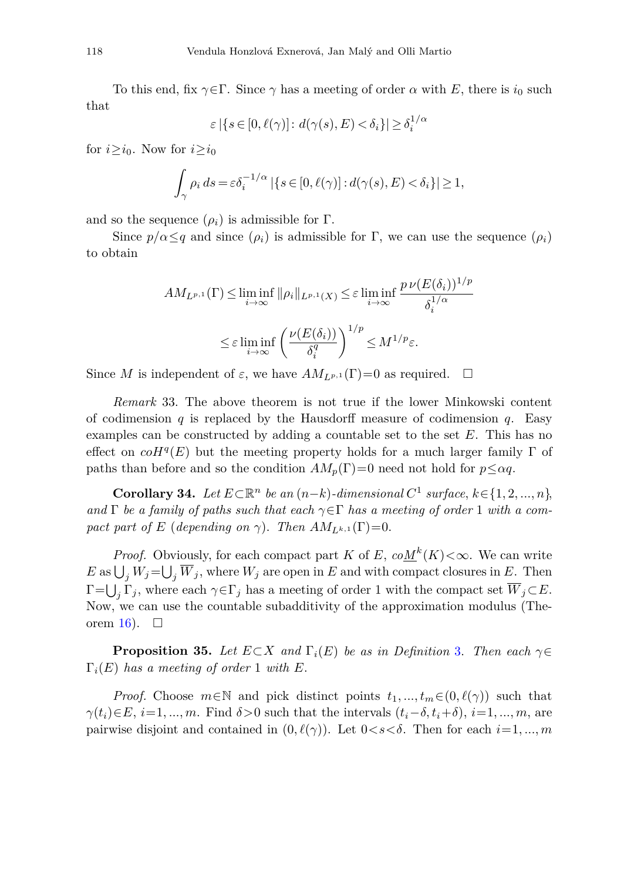To this end, fix  $\gamma \in \Gamma$ . Since  $\gamma$  has a meeting of order  $\alpha$  with E, there is  $i_0$  such that

$$
\varepsilon | \{ s \in [0, \ell(\gamma)] \colon d(\gamma(s), E) < \delta_i \} | \ge \delta_i^{1/\alpha}
$$

for  $i \geq i_0$ . Now for  $i \geq i_0$ 

$$
\int_{\gamma} \rho_i \, ds = \varepsilon \delta_i^{-1/\alpha} \left| \left\{ s \in [0, \ell(\gamma)] : d(\gamma(s), E) < \delta_i \right\} \right| \geq 1,
$$

and so the sequence  $(\rho_i)$  is admissible for  $\Gamma$ .

Since  $p/\alpha \leq q$  and since  $(\rho_i)$  is admissible for Γ, we can use the sequence  $(\rho_i)$ to obtain

$$
AM_{L^{p,1}}(\Gamma) \le \liminf_{i \to \infty} \|\rho_i\|_{L^{p,1}(X)} \le \varepsilon \liminf_{i \to \infty} \frac{p \nu(E(\delta_i))^{1/p}}{\delta_i^{1/\alpha}}
$$
  

$$
\le \varepsilon \liminf_{i \to \infty} \left(\frac{\nu(E(\delta_i))}{\delta_i^q}\right)^{1/p} \le M^{1/p}\varepsilon.
$$

Since *M* is independent of  $\varepsilon$ , we have  $AM_{L^{p,1}}(\Gamma)=0$  as required.  $\Box$ 

*Remark* 33. The above theorem is not true if the lower Minkowski content of codimension  $q$  is replaced by the Hausdorff measure of codimension  $q$ . Easy examples can be constructed by adding a countable set to the set *E*. This has no effect on  $coH<sup>q</sup>(E)$  but the meeting property holds for a much larger family  $\Gamma$  of paths than before and so the condition  $AM_p(\Gamma)=0$  need not hold for  $p \leq \alpha q$ .

<span id="page-13-1"></span>**Corollary 34.** Let  $E \subset \mathbb{R}^n$  be an  $(n-k)$ -dimensional  $C^1$  surface,  $k \in \{1, 2, ..., n\}$ , and  $\Gamma$  be a family of paths such that each  $\gamma \in \Gamma$  has a meeting of order 1 with a compact part of *E* (depending on  $\gamma$ ). Then  $AM_{L^{k,1}}(\Gamma)=0$ .

*Proof.* Obviously, for each compact part *K* of *E*,  $coM^k(K) < \infty$ . We can write  $E$  as  $\bigcup_j W_j = \bigcup_j \overline{W}_j$ , where  $W_j$  are open in *E* and with compact closures in *E*. Then  $\Gamma = \bigcup_j \Gamma_j$ , where each  $\gamma \in \Gamma_j$  has a meeting of order 1 with the compact set  $\overline{W}_j \subset E$ . Now, we can use the countable subadditivity of the approximation modulus (The-orem [16\)](#page-6-6).  $\Box$ 

<span id="page-13-0"></span>**Proposition 35.** Let  $E \subset X$  and  $\Gamma_i(E)$  be as in Definition [3.](#page-2-4) Then each  $\gamma \in$ Γ*i*(*E*) has a meeting of order 1 with *E*.

*Proof.* Choose  $m \in \mathbb{N}$  and pick distinct points  $t_1, ..., t_m \in (0, \ell(\gamma))$  such that *γ*( $t_i$ )∈ $E$ ,  $i=1, ..., m$ . Find  $\delta > 0$  such that the intervals  $(t_i - \delta, t_i + \delta), i=1, ..., m$ , are pairwise disjoint and contained in  $(0, \ell(\gamma))$ . Let  $0 < s < \delta$ . Then for each  $i = 1, ..., m$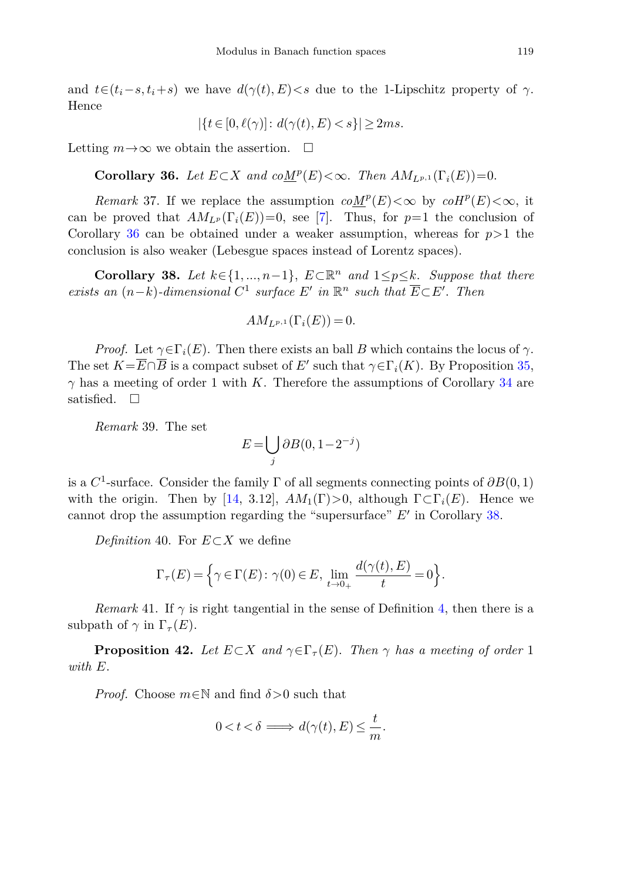and  $t \in (t_i - s, t_i + s)$  we have  $d(\gamma(t), E) < s$  due to the 1-Lipschitz property of  $\gamma$ . Hence

$$
|\{t\in[0,\ell(\gamma)]\colon d(\gamma(t),E)
$$

<span id="page-14-1"></span>Letting  $m \to \infty$  we obtain the assertion.  $\Box$ 

**Corollary 36.** Let  $E \subset X$  and  $coM^p(E) < \infty$ . Then  $AM_{L^p}(\Gamma_i(E)) = 0$ .

*Remark* 37. If we replace the assumption  $coM^p(E)<\infty$  by  $coH^p(E)<\infty$ , it can be proved that  $AM_{L^p}(\Gamma_i(E))=0$ , see [\[7\]](#page-24-3). Thus, for  $p=1$  the conclusion of Corollary [36](#page-14-1) can be obtained under a weaker assumption, whereas for  $p>1$  the conclusion is also weaker (Lebesgue spaces instead of Lorentz spaces).

<span id="page-14-2"></span>**Corollary 38.** Let  $k \in \{1, ..., n-1\}$ ,  $E \subset \mathbb{R}^n$  and  $1 \leq p \leq k$ . Suppose that there exists an  $(n-k)$ -dimensional  $C^1$  surface  $E'$  in  $\mathbb{R}^n$  such that  $\overline{E} \subset E'$ . Then

$$
AM_{L^{p,1}}(\Gamma_i(E)) = 0.
$$

*Proof.* Let  $\gamma \in \Gamma_i(E)$ . Then there exists an ball *B* which contains the locus of  $\gamma$ . The set  $K=\overline{E}\cap \overline{B}$  is a compact subset of *E'* such that  $\gamma \in \Gamma_i(K)$ . By Proposition [35,](#page-13-0)  $\gamma$  has a meeting of order 1 with *K*. Therefore the assumptions of Corollary [34](#page-13-1) are satisfied.  $\Box$ 

<span id="page-14-0"></span>*Remark* 39. The set

$$
E = \bigcup_j \partial B(0, 1 - 2^{-j})
$$

is a  $C^1$ -surface. Consider the family  $\Gamma$  of all segments connecting points of  $\partial B(0,1)$ with the origin. Then by [\[14,](#page-25-1) 3.12],  $AM_1(\Gamma) > 0$ , although  $\Gamma \subset \Gamma_i(E)$ . Hence we cannot drop the assumption regarding the "supersurface" *E'* in Corollary [38.](#page-14-2)

*Definition* 40. For *E*⊂*X* we define

$$
\Gamma_{\tau}(E) = \left\{ \gamma \in \Gamma(E) : \gamma(0) \in E, \lim_{t \to 0+} \frac{d(\gamma(t), E)}{t} = 0 \right\}.
$$

<span id="page-14-4"></span>*Remark* 41. If  $\gamma$  is right tangential in the sense of Definition [4,](#page-2-5) then there is a subpath of  $\gamma$  in  $\Gamma_\tau(E)$ .

<span id="page-14-3"></span>**Proposition 42.** Let  $E \subset X$  and  $\gamma \in \Gamma_{\tau}(E)$ . Then  $\gamma$  has a meeting of order 1 with *E*.

*Proof.* Choose *<sup>m</sup>*∈<sup>N</sup> and find *δ>*0 such that

$$
0 < t < \delta \implies d(\gamma(t), E) \le \frac{t}{m}.
$$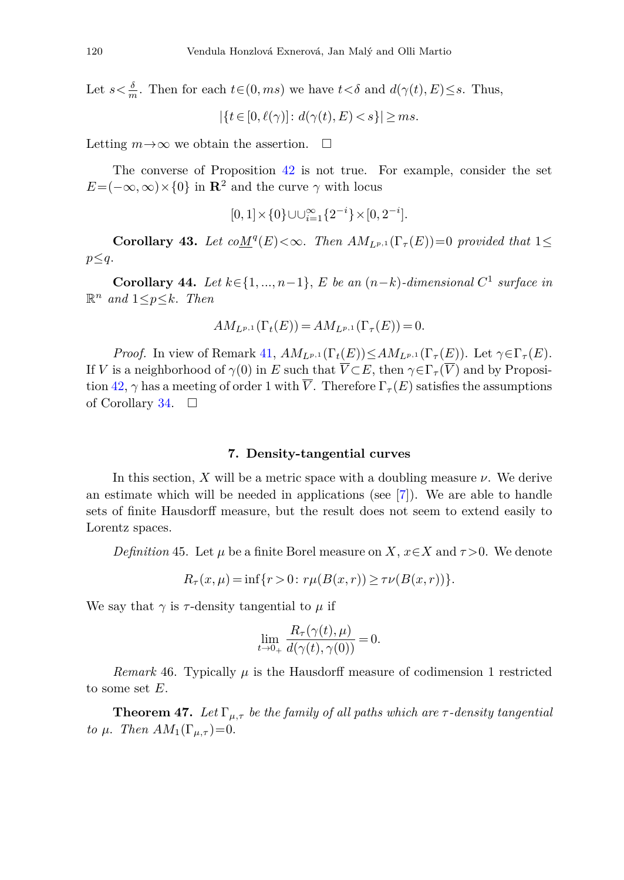Let  $s < \frac{\delta}{m}$ . Then for each  $t \in (0, ms)$  we have  $t < \delta$  and  $d(\gamma(t), E) \leq s$ . Thus,

 $|\{t \in [0, \ell(\gamma)] : d(\gamma(t), E) < s\}| \ge ms.$ 

Letting  $m \to \infty$  we obtain the assertion.  $\Box$ 

The converse of Proposition [42](#page-14-3) is not true. For example, consider the set  $E=(-\infty,\infty)\times\{0\}$  in **R**<sup>2</sup> and the curve  $\gamma$  with locus

$$
[0,1] \times \{0\} \cup \cup_{i=1}^{\infty} \{2^{-i}\} \times [0,2^{-i}].
$$

**Corollary 43.** Let  $coM^{q}(E) < \infty$ . Then  $AM_{L^{p,1}}(\Gamma_{\tau}(E)) = 0$  provided that 1< *p*≤*q*.

<span id="page-15-1"></span>**Corollary 44.** Let *<sup>k</sup>*∈{1*, ..., n*−1}, *<sup>E</sup>* be an (*n*−*k*)-dimensional *<sup>C</sup>*<sup>1</sup> surface in  $\mathbb{R}^n$  and  $1 \leq p \leq k$ . Then

$$
AM_{L^{p,1}}(\Gamma_t(E)) = AM_{L^{p,1}}(\Gamma_{\tau}(E)) = 0.
$$

*Proof.* In view of Remark [41,](#page-14-4)  $AM_{L^{p,1}}(\Gamma_t(E)) \leq AM_{L^{p,1}}(\Gamma_{\tau}(E))$ . Let  $\gamma \in \Gamma_{\tau}(E)$ . If *V* is a neighborhood of  $\gamma(0)$  in *E* such that  $\overline{V} \subset E$ , then  $\gamma \in \Gamma$ <sub>*τ*</sub> ( $\overline{V}$ ) and by Proposi-tion [42,](#page-14-3)  $\gamma$  has a meeting of order 1 with  $\overline{V}$ . Therefore  $\Gamma_{\tau}(E)$  satisfies the assumptions of Corollary [34.](#page-13-1)  $\Box$ 

### **7. Density-tangential curves**

<span id="page-15-0"></span>In this section,  $X$  will be a metric space with a doubling measure  $\nu$ . We derive an estimate which will be needed in applications (see [\[7\]](#page-24-3)). We are able to handle sets of finite Hausdorff measure, but the result does not seem to extend easily to Lorentz spaces.

*Definition* 45. Let  $\mu$  be a finite Borel measure on *X*,  $x \in X$  and  $\tau > 0$ . We denote

$$
R_{\tau}(x,\mu) = \inf\{r > 0 \colon r\mu(B(x,r)) \ge \tau \nu(B(x,r))\}.
$$

We say that  $\gamma$  is  $\tau$ -density tangential to  $\mu$  if

$$
\lim_{t \to 0+} \frac{R_{\tau}(\gamma(t), \mu)}{d(\gamma(t), \gamma(0))} = 0.
$$

*Remark* 46. Typically  $\mu$  is the Hausdorff measure of codimension 1 restricted to some set *E*.

**Theorem 47.** Let  $\Gamma_{\mu,\tau}$  be the family of all paths which are  $\tau$ -density tangential to μ. Then  $AM_1(\Gamma_{\mu,\tau})=0$ .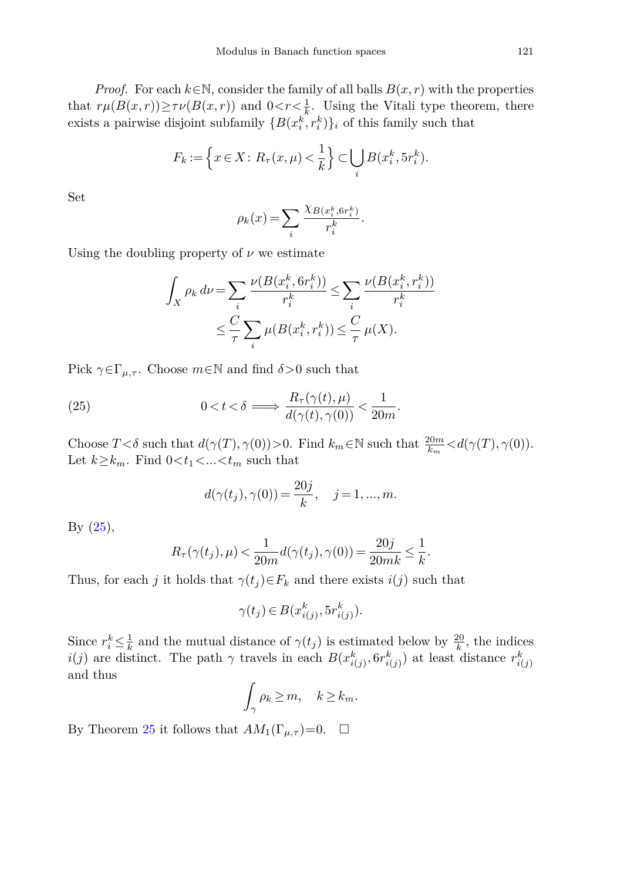*Proof.* For each  $k \in \mathbb{N}$ , consider the family of all balls  $B(x, r)$  with the properties that  $r\mu(B(x,r)) \geq \tau \nu(B(x,r))$  and  $0 < r < \frac{1}{k}$ . Using the Vitali type theorem, there exists a pairwise disjoint subfamily  $\{B(x_i^k, r_i^k)\}\$ <sub>i</sub> of this family such that

$$
F_k := \left\{ x \in X \colon R_\tau(x, \mu) < \frac{1}{k} \right\} \subset \bigcup_i B(x_i^k, 5r_i^k).
$$

Set

$$
\rho_k(x) = \sum_i \frac{\chi_{B(x_i^k, 6r_i^k)}}{r_i^k}.
$$

Using the doubling property of  $\nu$  we estimate

$$
\int_X \rho_k \, d\nu = \sum_i \frac{\nu(B(x_i^k, 6r_i^k))}{r_i^k} \le \sum_i \frac{\nu(B(x_i^k, r_i^k))}{r_i^k}
$$
\n
$$
\le \frac{C}{\tau} \sum_i \mu(B(x_i^k, r_i^k)) \le \frac{C}{\tau} \mu(X).
$$

Pick  $\gamma \in \Gamma_{\mu,\tau}$ . Choose  $m \in \mathbb{N}$  and find  $\delta > 0$  such that

(25) 
$$
0 < t < \delta \Longrightarrow \frac{R_{\tau}(\gamma(t), \mu)}{d(\gamma(t), \gamma(0))} < \frac{1}{20m}.
$$

Choose  $T < \delta$  such that  $d(\gamma(T), \gamma(0)) > 0$ . Find  $k_m \in \mathbb{N}$  such that  $\frac{20m}{k_m} < d(\gamma(T), \gamma(0))$ . Let  $k \geq k_m$ . Find  $0 \lt t_1 \lt \ldots \lt t_m$  such that

<span id="page-16-0"></span>
$$
d(\gamma(t_j), \gamma(0)) = \frac{20j}{k}, \quad j = 1, ..., m.
$$

By [\(25\)](#page-16-0),

$$
R_\tau(\gamma(t_j),\mu) < \frac{1}{20m}d(\gamma(t_j),\gamma(0)) = \frac{20j}{20mk} \le \frac{1}{k}.
$$

Thus, for each *j* it holds that  $\gamma(t_j) \in F_k$  and there exists  $i(j)$  such that

$$
\gamma(t_j) \in B(x_{i(j)}^k, 5r_{i(j)}^k).
$$

Since  $r_i^k \leq \frac{1}{k}$  and the mutual distance of  $\gamma(t_j)$  is estimated below by  $\frac{20}{k}$ , the indices *i*(*j*) are distinct. The path  $\gamma$  travels in each  $B(x_{i(j)}^k, 6r_{i(j)}^k)$  at least distance  $r_{i(j)}^k$ and thus

$$
\int_{\gamma} \rho_k \ge m, \quad k \ge k_m.
$$

By Theorem [25](#page-9-0) it follows that  $AM_1(\Gamma_{\mu,\tau})=0$ .  $\Box$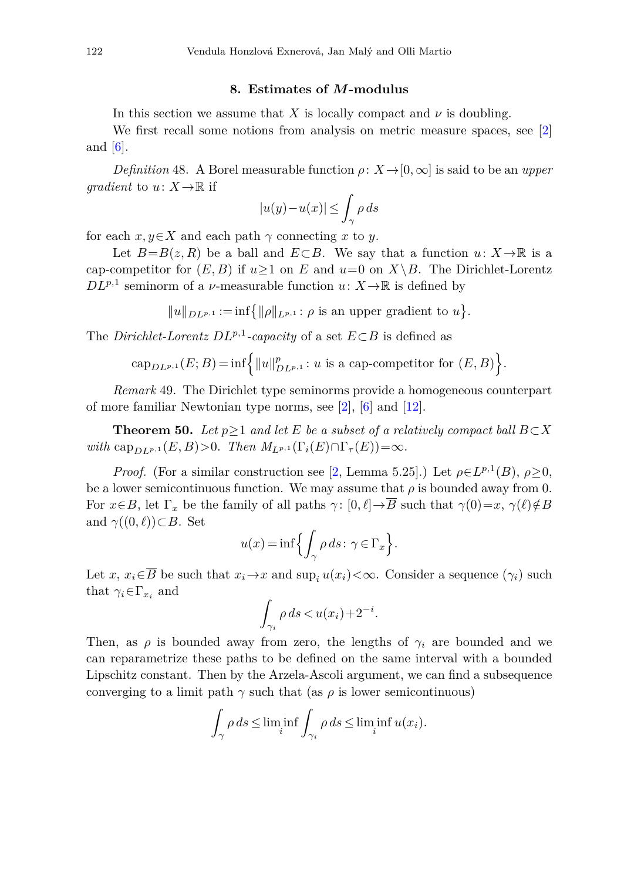## **8. Estimates of** *M***-modulus**

<span id="page-17-0"></span>In this section we assume that *X* is locally compact and  $\nu$  is doubling.

We first recall some notions from analysis on metric measure spaces, see [\[2\]](#page-24-1) and  $[6]$ .

*Definition* 48. A Borel measurable function  $\rho: X \rightarrow [0, \infty]$  is said to be an *upper gradient* to  $u: X \to \mathbb{R}$  if

$$
|u(y)-u(x)|\leq \int_\gamma \rho\, ds
$$

for each  $x, y \in X$  and each path  $\gamma$  connecting x to y.

Let  $B=B(z,R)$  be a ball and  $E\subset B$ . We say that a function  $u: X\to\mathbb{R}$  is a cap-competitor for  $(E, B)$  if  $u \ge 1$  on  $E$  and  $u=0$  on  $X \setminus B$ . The Dirichlet-Lorentz  $D L^{p,1}$  seminorm of a *v*-measurable function *u*:  $X \to \mathbb{R}$  is defined by

 $||u||_{DL^{p,1}} := \inf \{ ||\rho||_{L^{p,1}} : \rho \text{ is an upper gradient to } u \}.$ 

The *Dirichlet-Lorentz DLp,*1*-capacity* of a set *<sup>E</sup>*⊂*<sup>B</sup>* is defined as

$$
cap_{DL^{p,1}}(E;B) = \inf \left\{ ||u||_{DL^{p,1}}^p : u \text{ is a cap-compact} for (E,B) \right\}.
$$

*Remark* 49. The Dirichlet type seminorms provide a homogeneous counterpart of more familiar Newtonian type norms, see [\[2\]](#page-24-1), [\[6](#page-24-2)] and [\[12\]](#page-25-3).

<span id="page-17-1"></span>**Theorem 50.** Let  $p \geq 1$  and let *E* be a subset of a relatively compact ball  $B \subset X$ with cap<sub>*DL*</sub><sub>*p*,1</sub></sub> (*E*, *B*) > 0. Then  $M_{L^{p,1}}(\Gamma_i(E) \cap \Gamma_{\tau}(E)) = \infty$ .

*Proof.* (For a similar construction see [\[2,](#page-24-1) Lemma 5.25].) Let  $\rho \in L^{p,1}(B)$ ,  $\rho > 0$ , be a lower semicontinuous function. We may assume that  $\rho$  is bounded away from 0. For  $x \in B$ , let  $\Gamma_x$  be the family of all paths  $\gamma : [0, \ell] \to \overline{B}$  such that  $\gamma(0) = x$ ,  $\gamma(\ell) \notin B$ and  $\gamma((0,\ell)) \subset B$ . Set

$$
u(x)=\inf\Bigl\{\int_\gamma\rho\,ds\colon\gamma\in\Gamma_x\Bigr\}.
$$

Let *x*,  $x_i \in \overline{B}$  be such that  $x_i \to x$  and  $\sup_i u(x_i) < \infty$ . Consider a sequence  $(\gamma_i)$  such that  $\gamma_i \in \Gamma_{x_i}$  and

$$
\int_{\gamma_i} \rho \, ds < u(x_i) + 2^{-i}.
$$

Then, as  $\rho$  is bounded away from zero, the lengths of  $\gamma_i$  are bounded and we can reparametrize these paths to be defined on the same interval with a bounded Lipschitz constant. Then by the Arzela-Ascoli argument, we can find a subsequence converging to a limit path  $\gamma$  such that (as  $\rho$  is lower semicontinuous)

$$
\int_{\gamma} \rho ds \le \liminf_i \int_{\gamma_i} \rho ds \le \liminf_i u(x_i).
$$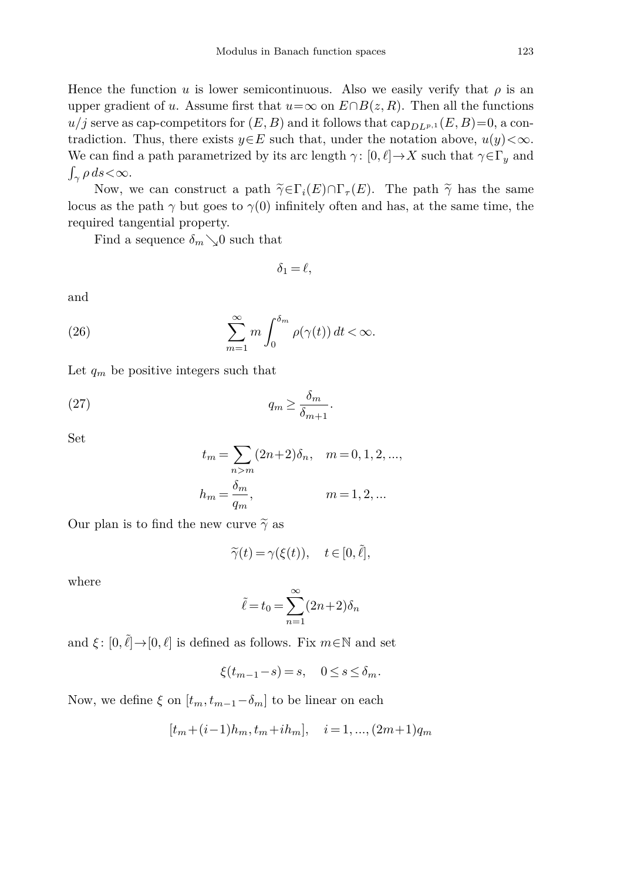Hence the function *u* is lower semicontinuous. Also we easily verify that  $\rho$  is an upper gradient of *u*. Assume first that  $u=\infty$  on  $E\cap B(z, R)$ . Then all the functions  $u/j$  serve as cap-competitors for  $(E, B)$  and it follows that  $\text{cap}_{DLP,1}(E, B)=0$ , a contradiction. Thus, there exists  $y \in E$  such that, under the notation above,  $u(y) < \infty$ . We can find a path parametrized by its arc length  $\gamma : [0, \ell] \to X$  such that  $\gamma \in \Gamma_y$  and *<sup>γ</sup> ρ ds<*∞.

Now, we can construct a path  $\tilde{\gamma} \in \Gamma_i(E) \cap \Gamma_{\tau}(E)$ . The path  $\tilde{\gamma}$  has the same locus as the path  $\gamma$  but goes to  $\gamma(0)$  infinitely often and has, at the same time, the required tangential property.

Find a sequence  $\delta_m \searrow 0$  such that

<span id="page-18-0"></span>
$$
\delta_1 = \ell,
$$

<span id="page-18-1"></span>and

(26) 
$$
\sum_{m=1}^{\infty} m \int_0^{\delta_m} \rho(\gamma(t)) dt < \infty.
$$

Let  $q_m$  be positive integers such that

$$
(27) \t\t\t q_m \ge \frac{\delta_m}{\delta_{m+1}}.
$$

Set

$$
t_m = \sum_{n>m} (2n+2)\delta_n, \quad m = 0, 1, 2, \dots,
$$
  

$$
h_m = \frac{\delta_m}{q_m}, \qquad m = 1, 2, \dots
$$

Our plan is to find the new curve  $\tilde{\gamma}$  as

$$
\widetilde{\gamma}(t) = \gamma(\xi(t)), \quad t \in [0, \tilde{\ell}],
$$

where

$$
\tilde{\ell} = t_0 = \sum_{n=1}^{\infty} (2n+2)\delta_n
$$

and  $\xi$ :  $[0, \tilde{\ell}] \rightarrow [0, \ell]$  is defined as follows. Fix  $m \in \mathbb{N}$  and set

$$
\xi(t_{m-1}-s) = s, \quad 0 \le s \le \delta_m.
$$

Now, we define  $\xi$  on  $[t_m, t_{m-1}-\delta_m]$  to be linear on each

$$
[t_m + (i-1)h_m, t_m + ih_m], \quad i = 1, ..., (2m+1)q_m
$$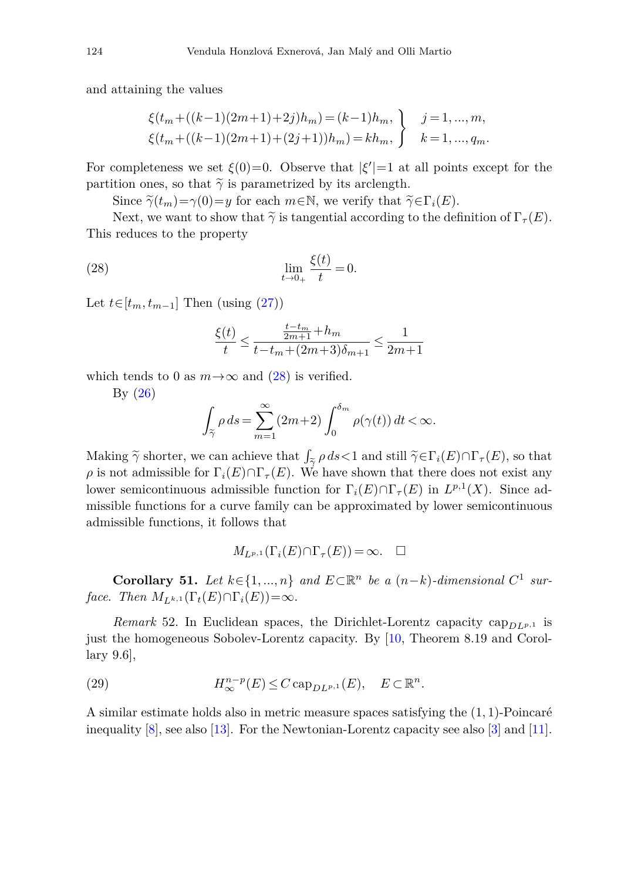and attaining the values

$$
\xi(t_m + ((k-1)(2m+1)+2j)h_m) = (k-1)h_m, \qquad j = 1, ..., m,
$$
  

$$
\xi(t_m + ((k-1)(2m+1)+(2j+1))h_m) = kh_m, \qquad k = 1, ..., q_m.
$$

For completeness we set  $\xi(0)=0$ . Observe that  $|\xi'|=1$  at all points except for the partition ones, so that  $\tilde{\gamma}$  is parametrized by its arclength.

Since  $\tilde{\gamma}(t_m)=\gamma(0)=y$  for each  $m\in\mathbb{N}$ , we verify that  $\tilde{\gamma}\in\Gamma_i(E)$ .

Next, we want to show that  $\tilde{\gamma}$  is tangential according to the definition of  $\Gamma_{\tau}(E)$ . This reduces to the property

(28) 
$$
\lim_{t \to 0_+} \frac{\xi(t)}{t} = 0.
$$

Let  $t \in [t_m, t_{m-1}]$  Then (using  $(27)$ )

<span id="page-19-0"></span>
$$
\frac{\xi(t)}{t} \le \frac{\frac{t - t_m}{2m + 1} + h_m}{t - t_m + (2m + 3)\delta_{m+1}} \le \frac{1}{2m + 1}
$$

which tends to 0 as  $m \rightarrow \infty$  and [\(28\)](#page-19-0) is verified.

By [\(26\)](#page-18-1)

$$
\int_{\widetilde{\gamma}} \rho \, ds = \sum_{m=1}^{\infty} (2m+2) \int_0^{\delta_m} \rho(\gamma(t)) \, dt < \infty.
$$
\ne can achieve that  $\int_{\widetilde{\gamma}} \rho \, ds < 1$  and still  $\widetilde{\gamma} \in \Gamma$ 

Making  $\tilde{\gamma}$  shorter, we can achieve that  $\int_{\tilde{\gamma}} \rho ds < 1$  and still  $\tilde{\gamma} \in \Gamma_i(E) \cap \Gamma_{\tau}(E)$ , so that  $\rho$  is not admissible for  $\Gamma_i(E) \cap \Gamma_\tau(E)$ . We have shown that there does not exist any lower semicontinuous admissible function for  $\Gamma_i(E) \cap \Gamma_{\tau}(E)$  in  $L^{p,1}(X)$ . Since admissible functions for a curve family can be approximated by lower semicontinuous admissible functions, it follows that

$$
M_{L^{p,1}}(\Gamma_i(E)\cap \Gamma_\tau(E))=\infty.\quad \Box
$$

<span id="page-19-1"></span>**Corollary 51.** Let  $k \in \{1, ..., n\}$  and  $E \subset \mathbb{R}^n$  be a  $(n-k)$ -dimensional  $C^1$  sur*face.* Then  $M_{L^{k,1}}(\Gamma_t(E) \cap \Gamma_i(E)) = \infty$ .

<span id="page-19-3"></span>*Remark* 52. In Euclidean spaces, the Dirichlet-Lorentz capacity cap<sub>*DLp*,<sup>1</sup> is</sub> just the homogeneous Sobolev-Lorentz capacity. By [\[10](#page-25-6), Theorem 8.19 and Corollary 9.6],

<span id="page-19-2"></span>(29) 
$$
H^{n-p}_{\infty}(E) \leq C \operatorname{cap}_{DL^{p,1}}(E), \quad E \subset \mathbb{R}^n.
$$

A similar estimate holds also in metric measure spaces satisfying the (1*,* 1)-Poincaré inequality [\[8\]](#page-25-4), see also [\[13](#page-25-9)]. For the Newtonian-Lorentz capacity see also [\[3\]](#page-24-5) and [\[11](#page-25-10)].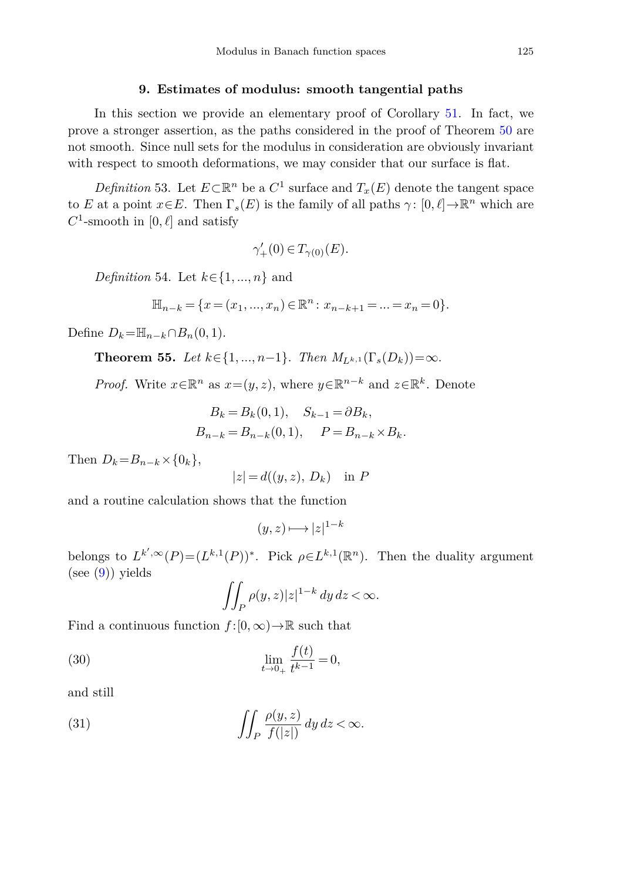#### **9. Estimates of modulus: smooth tangential paths**

<span id="page-20-0"></span>In this section we provide an elementary proof of Corollary [51.](#page-19-1) In fact, we prove a stronger assertion, as the paths considered in the proof of Theorem [50](#page-17-1) are not smooth. Since null sets for the modulus in consideration are obviously invariant with respect to smooth deformations, we may consider that our surface is flat.

*Definition* 53. Let  $E \subset \mathbb{R}^n$  be a  $C^1$  surface and  $T_x(E)$  denote the tangent space to *E* at a point  $x \in E$ . Then  $\Gamma_s(E)$  is the family of all paths  $\gamma : [0, \ell] \to \mathbb{R}^n$  which are  $C^1$ -smooth in [0,  $\ell$ ] and satisfy

$$
\gamma'_+(0) \in T_{\gamma(0)}(E).
$$

*Definition* 54. Let *k*∈{1*, ..., n*} and

$$
\mathbb{H}_{n-k} = \{x = (x_1, ..., x_n) \in \mathbb{R}^n : x_{n-k+1} = ... = x_n = 0\}.
$$

Define  $D_k = \mathbb{H}_{n-k} ∩ B_n(0,1)$ .

**Theorem 55.** Let  $k \in \{1, ..., n-1\}$ . Then  $M_{L^{k,1}}(Γ_s(D_k)) = ∞$ .

*Proof.* Write  $x \in \mathbb{R}^n$  as  $x=(y, z)$ , where  $y \in \mathbb{R}^{n-k}$  and  $z \in \mathbb{R}^k$ . Denote

$$
B_k = B_k(0, 1), \quad S_{k-1} = \partial B_k,
$$
  

$$
B_{n-k} = B_{n-k}(0, 1), \quad P = B_{n-k} \times B_k.
$$

Then  $D_k = B_{n-k} \times \{0_k\},\$ 

$$
|z| = d((y, z), D_k) \text{ in } P
$$

and a routine calculation shows that the function

$$
(y, z) \longmapsto |z|^{1-k}
$$

belongs to  $L^{k',\infty}(P) = (L^{k,1}(P))^*$ . Pick  $\rho \in L^{k,1}(\mathbb{R}^n)$ . Then the duality argument  $(see (9)) yields$  $(see (9)) yields$  $(see (9)) yields$ 

<span id="page-20-1"></span>
$$
\iint_P \rho(y, z) |z|^{1-k} dy dz < \infty.
$$

Find a continuous function  $f:[0,\infty) \to \mathbb{R}$  such that

(30) 
$$
\lim_{t \to 0_+} \frac{f(t)}{t^{k-1}} = 0,
$$

<span id="page-20-2"></span>and still

(31) 
$$
\iint_P \frac{\rho(y, z)}{f(|z|)} dy dz < \infty.
$$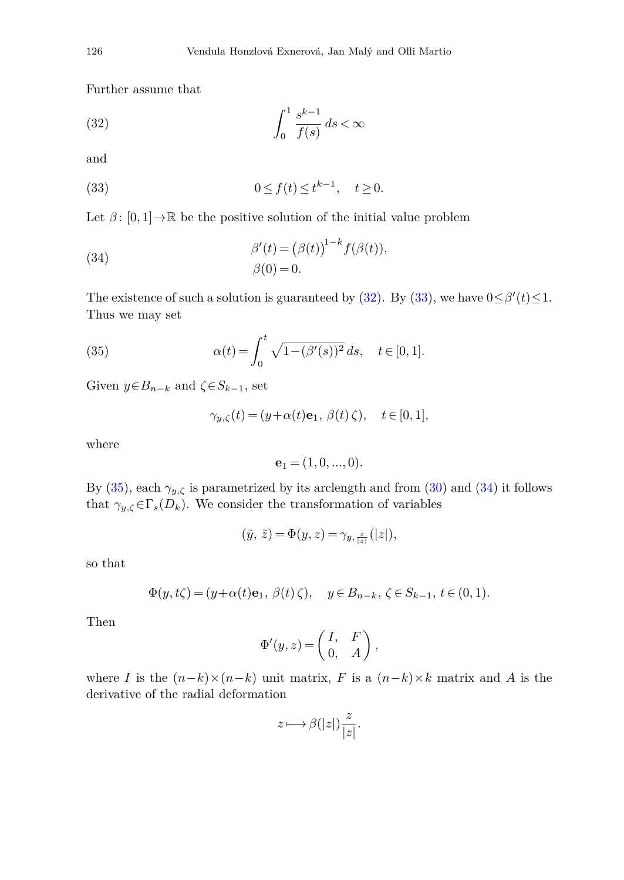<span id="page-21-0"></span>Further assume that

$$
\int_0^1 \frac{s^{k-1}}{f(s)} ds < \infty
$$

<span id="page-21-1"></span>and

(33) 
$$
0 \le f(t) \le t^{k-1}, \quad t \ge 0.
$$

Let  $\beta$ :  $[0,1] \rightarrow \mathbb{R}$  be the positive solution of the initial value problem

(34) 
$$
\beta'(t) = (\beta(t))^{1-k} f(\beta(t)),
$$

$$
\beta(0) = 0.
$$

<span id="page-21-2"></span>The existence of such a solution is guaranteed by [\(32\)](#page-21-0). By [\(33\)](#page-21-1), we have  $0 \le \beta'(t) \le 1$ . Thus we may set

(35) 
$$
\alpha(t) = \int_0^t \sqrt{1 - (\beta'(s))^2} ds, \quad t \in [0, 1].
$$

Given  $y \in B_{n-k}$  and  $\zeta \in S_{k-1}$ , set

$$
\gamma_{y,\zeta}(t) = (y + \alpha(t)\mathbf{e}_1, \ \beta(t)\ \zeta), \quad t \in [0,1],
$$

where

<span id="page-21-3"></span>
$$
\mathbf{e}_1 = (1, 0, ..., 0).
$$

By [\(35\)](#page-21-2), each  $\gamma_{y,\zeta}$  is parametrized by its arclength and from [\(30\)](#page-20-1) and [\(34\)](#page-21-3) it follows that  $\gamma_{y,\zeta} \in \Gamma_s(D_k)$ . We consider the transformation of variables

$$
(\tilde{y}, \tilde{z}) = \Phi(y, z) = \gamma_{y, \frac{z}{|z|}}(|z|),
$$

so that

$$
\Phi(y, t\zeta) = (y + \alpha(t)\mathbf{e}_1, \ \beta(t)\ \zeta), \quad y \in B_{n-k}, \ \zeta \in S_{k-1}, \ t \in (0, 1).
$$

Then

$$
\Phi'(y, z) = \begin{pmatrix} I, & F \\ 0, & A \end{pmatrix},
$$

where *I* is the  $(n-k)\times(n-k)$  unit matrix, *F* is a  $(n-k)\times k$  matrix and *A* is the derivative of the radial deformation

$$
z \longmapsto \beta(|z|) \frac{z}{|z|}.
$$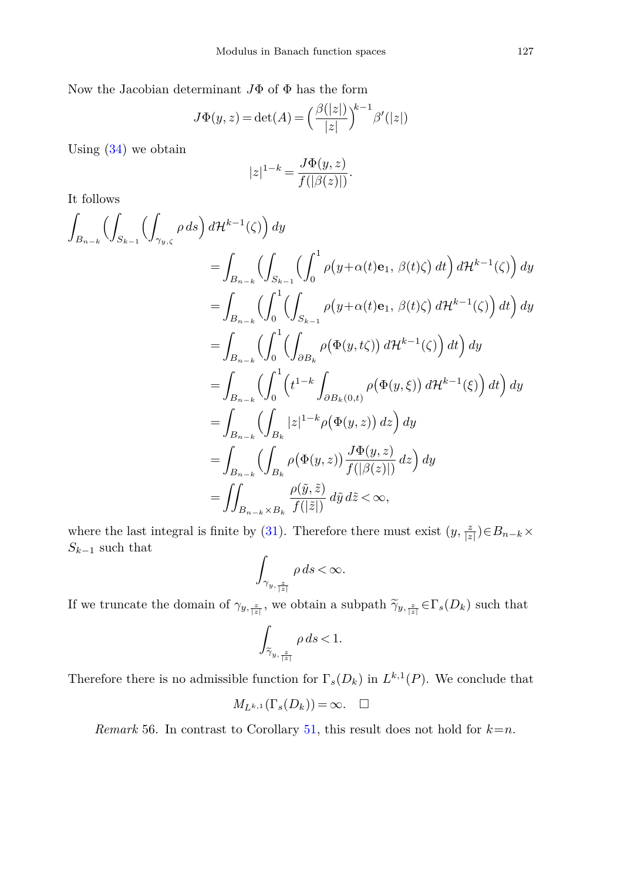Now the Jacobian determinant *J*Φ of Φ has the form

$$
J\Phi(y, z) = \det(A) = \left(\frac{\beta(|z|)}{|z|}\right)^{k-1} \beta'(|z|)
$$

Using  $(34)$  we obtain

$$
|z|^{1-k} = \frac{J\Phi(y, z)}{f(|\beta(z)|)}.
$$

It follows

$$
\int_{B_{n-k}} \left( \int_{S_{k-1}} \left( \int_{\gamma_{y,\zeta}} \rho \, ds \right) d\mathcal{H}^{k-1}(\zeta) \right) dy
$$
\n
$$
= \int_{B_{n-k}} \left( \int_{S_{k-1}} \left( \int_{0}^{1} \rho \big( y + \alpha(t) \mathbf{e}_1, \beta(t) \zeta \big) \, dt \right) d\mathcal{H}^{k-1}(\zeta) \right) dy
$$
\n
$$
= \int_{B_{n-k}} \left( \int_{0}^{1} \left( \int_{S_{k-1}} \rho \big( y + \alpha(t) \mathbf{e}_1, \beta(t) \zeta \big) \, d\mathcal{H}^{k-1}(\zeta) \right) \, dt \right) dy
$$
\n
$$
= \int_{B_{n-k}} \left( \int_{0}^{1} \left( \int_{\partial B_{k}} \rho \big( \Phi(y, t \zeta) \big) \, d\mathcal{H}^{k-1}(\zeta) \right) \, dt \right) dy
$$
\n
$$
= \int_{B_{n-k}} \left( \int_{0}^{1} \left( t^{1-k} \int_{\partial B_{k}(0, t)} \rho \big( \Phi(y, \xi) \big) \, d\mathcal{H}^{k-1}(\xi) \right) \, dt \right) dy
$$
\n
$$
= \int_{B_{n-k}} \left( \int_{B_{k}} |z|^{1-k} \rho \big( \Phi(y, z) \big) \, dz \right) dy
$$
\n
$$
= \int_{B_{n-k}} \left( \int_{B_{k}} \rho \big( \Phi(y, z) \big) \frac{J\Phi(y, z)}{J(|\beta(z)|)} \, dz \right) dy
$$
\n
$$
= \iint_{B_{n-k} \times B_{k}} \frac{\rho(\tilde{y}, \tilde{z})}{J(|\tilde{z}|)} \, d\tilde{y} \, d\tilde{z} < \infty,
$$

where the last integral is finite by [\(31\)](#page-20-2). Therefore there must exist  $(y, \frac{z}{|z|}) \in B_{n-k} \times$  $S_{k-1}$  such that

$$
\int_{\gamma_{y,\frac{z}{|z|}}}\rho\,ds\!<\!\infty.
$$

If we truncate the domain of  $\gamma_{y, \frac{z}{|z|}}$ , we obtain a subpath  $\widetilde{\gamma}_{y, \frac{z}{|z|}} \in \Gamma_s(D_k)$  such that

$$
\sum_{\bar{z}_1, \bar{z}_2} \bar{z}_1 \quad \text{we obtain a:}
$$

$$
\int_{\widetilde{\gamma}_{y, \frac{z}{|z|}}} \rho \, ds < 1.
$$

Therefore there is no admissible function for  $\Gamma_s(D_k)$  in  $L^{k,1}(P)$ . We conclude that

$$
M_{L^{k,1}}(\Gamma_s(D_k)) = \infty. \quad \Box
$$

*Remark* 56. In contrast to Corollary [51,](#page-19-1) this result does not hold for  $k=n$ .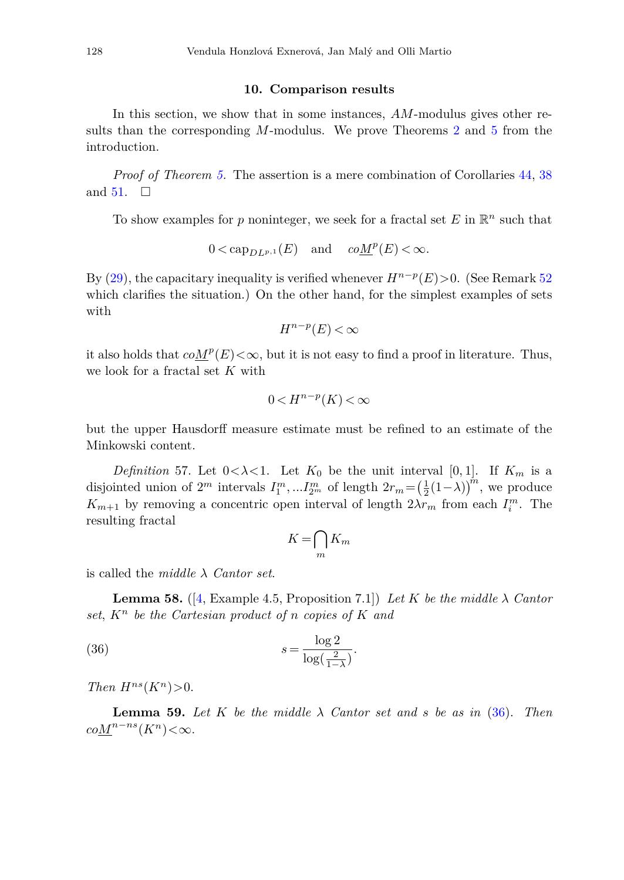#### **10. Comparison results**

<span id="page-23-0"></span>In this section, we show that in some instances, *AM*-modulus gives other results than the corresponding *M*-modulus. We prove Theorems [2](#page-2-0) and [5](#page-2-3) from the introduction.

*Proof of Theorem [5.](#page-2-3)* The assertion is a mere combination of Corollaries [44,](#page-15-1) [38](#page-14-2) and [51.](#page-19-1)  $\Box$ 

To show examples for  $p$  noninteger, we seek for a fractal set  $E$  in  $\mathbb{R}^n$  such that

$$
0 < \mathsf{cap}_{D\,^{\,p,1}}(E) \quad \text{and} \quad co\underline{M}^p(E) < \infty.
$$

By [\(29\)](#page-19-2), the capacitary inequality is verified whenever  $H^{n-p}(E) > 0$ . (See Remark [52](#page-19-3)) which clarifies the situation.) On the other hand, for the simplest examples of sets with

$$
H^{n-p}(E)<\infty
$$

it also holds that  $coM^p(E)<\infty$ , but it is not easy to find a proof in literature. Thus, we look for a fractal set *K* with

$$
0 < H^{n-p}(K) < \infty
$$

but the upper Hausdorff measure estimate must be refined to an estimate of the Minkowski content.

*Definition* 57. Let  $0 < \lambda < 1$ . Let  $K_0$  be the unit interval [0,1]. If  $K_m$  is a disjointed union of  $2^m$  intervals  $I_1^m, \ldots I_{2^m}^m$  of length  $2r_m = \left(\frac{1}{2}(1-\lambda)\right)^m$ , we produce *K*<sub>*m*+1</sub> by removing a concentric open interval of length  $2\lambda r_m$  from each  $I_i^m$ . The resulting fractal

<span id="page-23-1"></span>
$$
K = \bigcap_{m} K_m
$$

is called the *middle λ Cantor set*.

**Lemma 58.** ([\[4](#page-24-6), Example 4.5, Proposition 7.1]) Let *K* be the middle  $\lambda$  Cantor set,  $K^n$  be the Cartesian product of *n* copies of K and

(36) 
$$
s = \frac{\log 2}{\log(\frac{2}{1-\lambda})}.
$$

*Then*  $H^{ns}(K^n) > 0$ .

**Lemma 59.** Let K be the middle  $\lambda$  Cantor set and *s* be as in [\(36\)](#page-23-1). Then  $coM^{n-ns}(K^n) < \infty$ .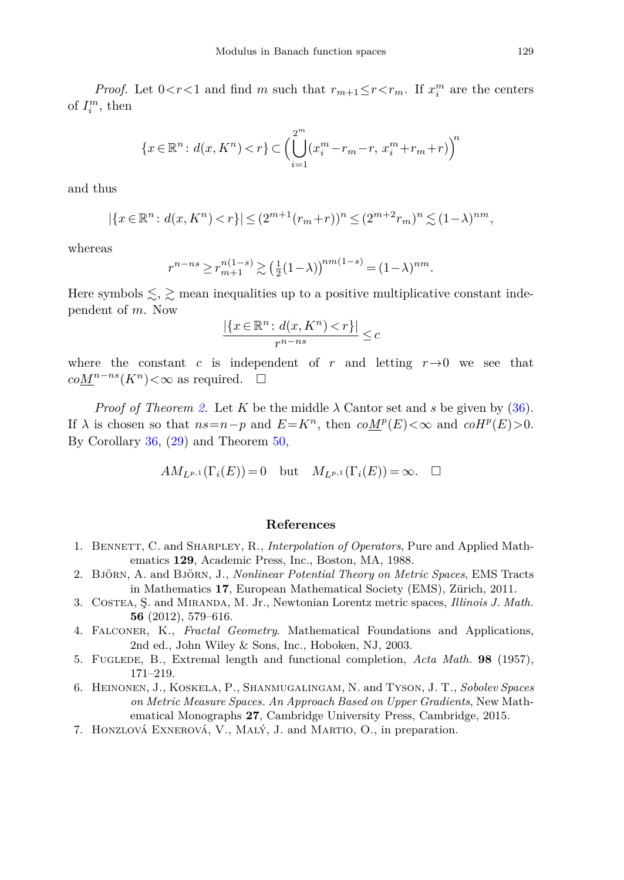*Proof.* Let  $0 < r < 1$  and find *m* such that  $r_{m+1} \le r < r_m$ . If  $x_i^m$  are the centers of  $I_i^m$ , then

$$
\{x \in \mathbb{R}^n : d(x, K^n) < r\} \subset \Big(\bigcup_{i=1}^{2^m} (x_i^m - r_m - r, \, x_i^m + r_m + r) \Big)^n
$$

and thus

$$
|\{x \in \mathbb{R}^n : d(x, K^n) < r\}| \leq (2^{m+1}(r_m + r))^n \leq (2^{m+2}r_m)^n \lesssim (1 - \lambda)^{nm},
$$

whereas

$$
r^{n-ns} \ge r_{m+1}^{n(1-s)} \gtrsim \left(\frac{1}{2}(1-\lambda)\right)^{nm(1-s)} = (1-\lambda)^{nm}.
$$

Here symbols  $\leq, \geq$  mean inequalities up to a positive multiplicative constant independent of *m*. Now

$$
\frac{|\{x \in \mathbb{R}^n : d(x, K^n) < r\}|}{r^{n - ns}} \leq c
$$

where the constant *c* is independent of *r* and letting  $r \rightarrow 0$  we see that  $coM<sup>n-ns</sup>(*K*<sup>n</sup>) < ∞$  as required.  $□$ 

*Proof of Theorem [2.](#page-2-0)* Let *K* be the middle  $\lambda$  Cantor set and *s* be given by [\(36\)](#page-23-1). If  $\lambda$  is chosen so that  $ns = n - p$  and  $E = K^n$ , then  $coM^p(E) < \infty$  and  $coH^p(E) > 0$ . By Corollary [36,](#page-14-1) [\(29\)](#page-19-2) and Theorem [50,](#page-17-1)

$$
AM_{L^{p,1}}(\Gamma_i(E)) = 0 \quad \text{but} \quad M_{L^{p,1}}(\Gamma_i(E)) = \infty. \quad \Box
$$

## **References**

- <span id="page-24-4"></span>1. Bennett, C. and Sharpley, R., *Interpolation of Operators*, Pure and Applied Mathematics **129**, Academic Press, Inc., Boston, MA, 1988.
- <span id="page-24-1"></span>2. Björn, A. and Björn, J., *Nonlinear Potential Theory on Metric Spaces*, EMS Tracts in Mathematics **17**, European Mathematical Society (EMS), Zürich, 2011.
- <span id="page-24-5"></span>3. Costea, Ş. and Miranda, M. Jr., Newtonian Lorentz metric spaces, *Illinois J. Math.* **56** (2012), 579–616.
- <span id="page-24-6"></span>4. Falconer, K., *Fractal Geometry*. Mathematical Foundations and Applications, 2nd ed., John Wiley & Sons, Inc., Hoboken, NJ, 2003.
- <span id="page-24-0"></span>5. Fuglede, B., Extremal length and functional completion, *Acta Math.* **98** (1957), 171–219.
- <span id="page-24-2"></span>6. Heinonen, J., Koskela, P., Shanmugalingam, N. and Tyson, J. T., *Sobolev Spaces on Metric Measure Spaces. An Approach Based on Upper Gradients*, New Mathematical Monographs **27**, Cambridge University Press, Cambridge, 2015.
- <span id="page-24-3"></span>7. Honzlová Exnerová, V., Malý, J. and Martio, O., in preparation.